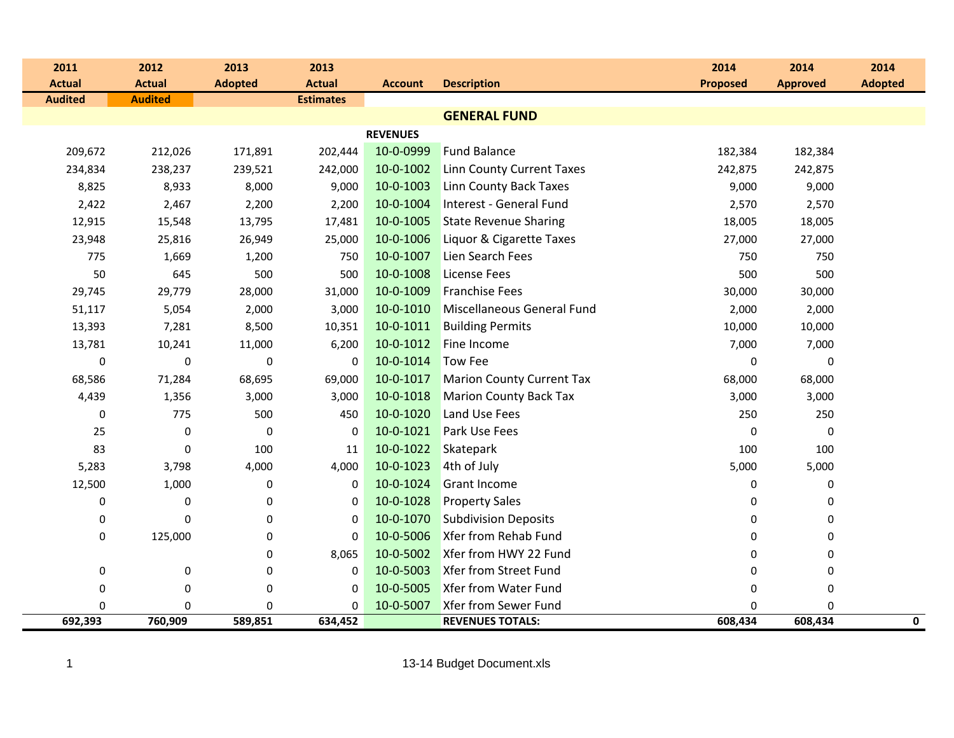| 2011             | 2012           | 2013           | 2013             |                 |                                  | 2014            | 2014            | 2014           |
|------------------|----------------|----------------|------------------|-----------------|----------------------------------|-----------------|-----------------|----------------|
| <b>Actual</b>    | <b>Actual</b>  | <b>Adopted</b> | <b>Actual</b>    | <b>Account</b>  | <b>Description</b>               | <b>Proposed</b> | <b>Approved</b> | <b>Adopted</b> |
| <b>Audited</b>   | <b>Audited</b> |                | <b>Estimates</b> |                 |                                  |                 |                 |                |
|                  |                |                |                  |                 | <b>GENERAL FUND</b>              |                 |                 |                |
|                  |                |                |                  | <b>REVENUES</b> |                                  |                 |                 |                |
| 209,672          | 212,026        | 171,891        | 202,444          | 10-0-0999       | <b>Fund Balance</b>              | 182,384         | 182,384         |                |
| 234,834          | 238,237        | 239,521        | 242,000          | 10-0-1002       | <b>Linn County Current Taxes</b> | 242,875         | 242,875         |                |
| 8,825            | 8,933          | 8,000          | 9,000            | 10-0-1003       | Linn County Back Taxes           | 9,000           | 9,000           |                |
| 2,422            | 2,467          | 2,200          | 2,200            | 10-0-1004       | Interest - General Fund          | 2,570           | 2,570           |                |
| 12,915           | 15,548         | 13,795         | 17,481           | 10-0-1005       | <b>State Revenue Sharing</b>     | 18,005          | 18,005          |                |
| 23,948           | 25,816         | 26,949         | 25,000           | 10-0-1006       | Liquor & Cigarette Taxes         | 27,000          | 27,000          |                |
| 775              | 1,669          | 1,200          | 750              | 10-0-1007       | Lien Search Fees                 | 750             | 750             |                |
| 50               | 645            | 500            | 500              | 10-0-1008       | <b>License Fees</b>              | 500             | 500             |                |
| 29,745           | 29,779         | 28,000         | 31,000           | 10-0-1009       | <b>Franchise Fees</b>            | 30,000          | 30,000          |                |
| 51,117           | 5,054          | 2,000          | 3,000            | 10-0-1010       | Miscellaneous General Fund       | 2,000           | 2,000           |                |
| 13,393           | 7,281          | 8,500          | 10,351           | 10-0-1011       | <b>Building Permits</b>          | 10,000          | 10,000          |                |
| 13,781           | 10,241         | 11,000         | 6,200            | 10-0-1012       | Fine Income                      | 7,000           | 7,000           |                |
| $\boldsymbol{0}$ | $\pmb{0}$      | $\pmb{0}$      | 0                | 10-0-1014       | <b>Tow Fee</b>                   | 0               | $\mathbf 0$     |                |
| 68,586           | 71,284         | 68,695         | 69,000           | 10-0-1017       | <b>Marion County Current Tax</b> | 68,000          | 68,000          |                |
| 4,439            | 1,356          | 3,000          | 3,000            | 10-0-1018       | <b>Marion County Back Tax</b>    | 3,000           | 3,000           |                |
| 0                | 775            | 500            | 450              | 10-0-1020       | Land Use Fees                    | 250             | 250             |                |
| 25               | $\pmb{0}$      | 0              | 0                | 10-0-1021       | Park Use Fees                    | 0               | 0               |                |
| 83               | 0              | 100            | 11               | 10-0-1022       | <b>Skatepark</b>                 | 100             | 100             |                |
| 5,283            | 3,798          | 4,000          | 4,000            | 10-0-1023       | 4th of July                      | 5,000           | 5,000           |                |
| 12,500           | 1,000          | $\pmb{0}$      | 0                | 10-0-1024       | <b>Grant Income</b>              | $\pmb{0}$       | 0               |                |
| 0                | $\pmb{0}$      | $\pmb{0}$      | 0                | 10-0-1028       | <b>Property Sales</b>            | 0               | 0               |                |
| $\pmb{0}$        | $\mathbf 0$    | 0              | 0                | 10-0-1070       | <b>Subdivision Deposits</b>      | 0               | 0               |                |
| 0                | 125,000        | 0              | 0                | 10-0-5006       | Xfer from Rehab Fund             | 0               | 0               |                |
|                  |                | 0              | 8,065            | 10-0-5002       | Xfer from HWY 22 Fund            | 0               | 0               |                |
| $\pmb{0}$        | $\pmb{0}$      | $\pmb{0}$      | 0                | 10-0-5003       | <b>Xfer from Street Fund</b>     | 0               | 0               |                |
| 0                | 0              | 0              | 0                | 10-0-5005       | <b>Xfer from Water Fund</b>      | 0               | 0               |                |
| 0                | $\mathbf 0$    | 0              | 0                | 10-0-5007       | <b>Xfer from Sewer Fund</b>      | $\mathbf 0$     | $\Omega$        |                |
| 692,393          | 760,909        | 589,851        | 634,452          |                 | <b>REVENUES TOTALS:</b>          | 608,434         | 608,434         | 0              |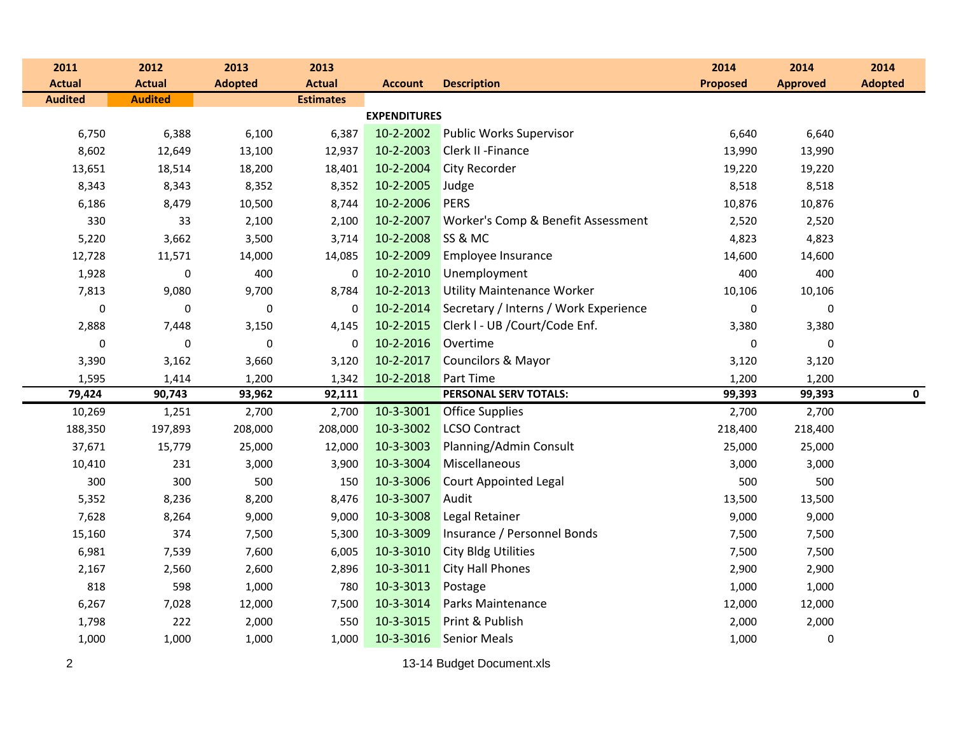| 2011           | 2012           | 2013           | 2013             |                     |                                       | 2014            | 2014            | 2014           |
|----------------|----------------|----------------|------------------|---------------------|---------------------------------------|-----------------|-----------------|----------------|
| <b>Actual</b>  | <b>Actual</b>  | <b>Adopted</b> | <b>Actual</b>    | <b>Account</b>      | <b>Description</b>                    | <b>Proposed</b> | <b>Approved</b> | <b>Adopted</b> |
| <b>Audited</b> | <b>Audited</b> |                | <b>Estimates</b> |                     |                                       |                 |                 |                |
|                |                |                |                  | <b>EXPENDITURES</b> |                                       |                 |                 |                |
| 6,750          | 6,388          | 6,100          | 6,387            | 10-2-2002           | <b>Public Works Supervisor</b>        | 6,640           | 6,640           |                |
| 8,602          | 12,649         | 13,100         | 12,937           | 10-2-2003           | <b>Clerk II - Finance</b>             | 13,990          | 13,990          |                |
| 13,651         | 18,514         | 18,200         | 18,401           | 10-2-2004           | <b>City Recorder</b>                  | 19,220          | 19,220          |                |
| 8,343          | 8,343          | 8,352          | 8,352            | 10-2-2005           | Judge                                 | 8,518           | 8,518           |                |
| 6,186          | 8,479          | 10,500         | 8,744            | 10-2-2006           | PERS                                  | 10,876          | 10,876          |                |
| 330            | 33             | 2,100          | 2,100            | 10-2-2007           | Worker's Comp & Benefit Assessment    | 2,520           | 2,520           |                |
| 5,220          | 3,662          | 3,500          | 3,714            | 10-2-2008           | SS & MC                               | 4,823           | 4,823           |                |
| 12,728         | 11,571         | 14,000         | 14,085           | 10-2-2009           | <b>Employee Insurance</b>             | 14,600          | 14,600          |                |
| 1,928          | $\mathbf 0$    | 400            | $\mathbf 0$      | 10-2-2010           | Unemployment                          | 400             | 400             |                |
| 7,813          | 9,080          | 9,700          | 8,784            | 10-2-2013           | <b>Utility Maintenance Worker</b>     | 10,106          | 10,106          |                |
| $\pmb{0}$      | $\pmb{0}$      | 0              | $\mathbf 0$      | 10-2-2014           | Secretary / Interns / Work Experience | 0               | 0               |                |
| 2,888          | 7,448          | 3,150          | 4,145            | 10-2-2015           | Clerk I - UB / Court/Code Enf.        | 3,380           | 3,380           |                |
| $\mathbf 0$    | 0              | 0              | 0                | 10-2-2016           | Overtime                              | 0               | $\mathbf 0$     |                |
| 3,390          | 3,162          | 3,660          | 3,120            | 10-2-2017           | Councilors & Mayor                    | 3,120           | 3,120           |                |
| 1,595          | 1,414          | 1,200          | 1,342            | 10-2-2018           | <b>Part Time</b>                      | 1,200           | 1,200           |                |
| 79,424         | 90,743         | 93,962         | 92,111           |                     | PERSONAL SERV TOTALS:                 | 99,393          | 99,393          | $\mathbf 0$    |
| 10,269         | 1,251          | 2,700          | 2,700            | 10-3-3001           | <b>Office Supplies</b>                | 2,700           | 2,700           |                |
| 188,350        | 197,893        | 208,000        | 208,000          | 10-3-3002           | <b>LCSO Contract</b>                  | 218,400         | 218,400         |                |
| 37,671         | 15,779         | 25,000         | 12,000           | 10-3-3003           | Planning/Admin Consult                | 25,000          | 25,000          |                |
| 10,410         | 231            | 3,000          | 3,900            | 10-3-3004           | Miscellaneous                         | 3,000           | 3,000           |                |
| 300            | 300            | 500            | 150              | 10-3-3006           | <b>Court Appointed Legal</b>          | 500             | 500             |                |
| 5,352          | 8,236          | 8,200          | 8,476            | 10-3-3007           | Audit                                 | 13,500          | 13,500          |                |
| 7,628          | 8,264          | 9,000          | 9,000            | 10-3-3008           | Legal Retainer                        | 9,000           | 9,000           |                |
| 15,160         | 374            | 7,500          | 5,300            | 10-3-3009           | Insurance / Personnel Bonds           | 7,500           | 7,500           |                |
| 6,981          | 7,539          | 7,600          | 6,005            | 10-3-3010           | <b>City Bldg Utilities</b>            | 7,500           | 7,500           |                |
| 2,167          | 2,560          | 2,600          | 2,896            | 10-3-3011           | <b>City Hall Phones</b>               | 2,900           | 2,900           |                |
| 818            | 598            | 1,000          | 780              | 10-3-3013           | Postage                               | 1,000           | 1,000           |                |
| 6,267          | 7,028          | 12,000         | 7,500            | 10-3-3014           | <b>Parks Maintenance</b>              | 12,000          | 12,000          |                |
| 1,798          | 222            | 2,000          | 550              | 10-3-3015           | Print & Publish                       | 2,000           | 2,000           |                |
| 1,000          | 1,000          | 1,000          | 1,000            | 10-3-3016           | <b>Senior Meals</b>                   | 1,000           | 0               |                |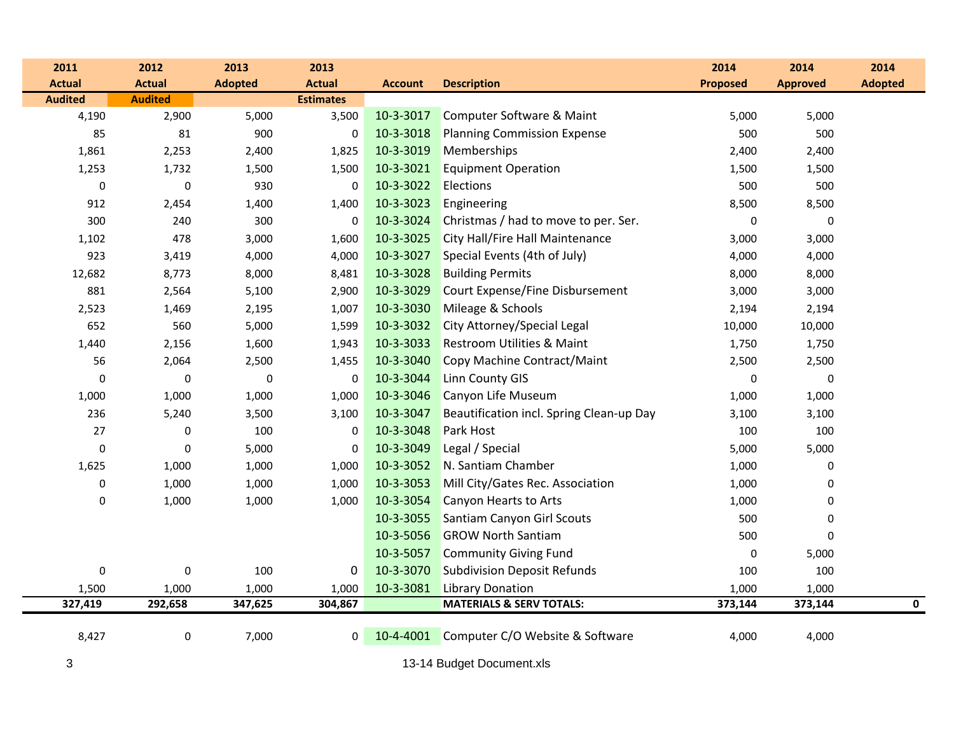| 2011           | 2012           | 2013           | 2013             |                |                                          | 2014             | 2014            | 2014           |
|----------------|----------------|----------------|------------------|----------------|------------------------------------------|------------------|-----------------|----------------|
| <b>Actual</b>  | <b>Actual</b>  | <b>Adopted</b> | <b>Actual</b>    | <b>Account</b> | <b>Description</b>                       | <b>Proposed</b>  | <b>Approved</b> | <b>Adopted</b> |
| <b>Audited</b> | <b>Audited</b> |                | <b>Estimates</b> |                |                                          |                  |                 |                |
| 4,190          | 2,900          | 5,000          | 3,500            | 10-3-3017      | Computer Software & Maint                | 5,000            | 5,000           |                |
| 85             | 81             | 900            | 0                | 10-3-3018      | <b>Planning Commission Expense</b>       | 500              | 500             |                |
| 1,861          | 2,253          | 2,400          | 1,825            | 10-3-3019      | Memberships                              | 2,400            | 2,400           |                |
| 1,253          | 1,732          | 1,500          | 1,500            | 10-3-3021      | <b>Equipment Operation</b>               | 1,500            | 1,500           |                |
| $\pmb{0}$      | 0              | 930            | 0                | 10-3-3022      | <b>Elections</b>                         | 500              | 500             |                |
| 912            | 2,454          | 1,400          | 1,400            | 10-3-3023      | Engineering                              | 8,500            | 8,500           |                |
| 300            | 240            | 300            | 0                | 10-3-3024      | Christmas / had to move to per. Ser.     | $\pmb{0}$        | $\pmb{0}$       |                |
| 1,102          | 478            | 3,000          | 1,600            | 10-3-3025      | City Hall/Fire Hall Maintenance          | 3,000            | 3,000           |                |
| 923            | 3,419          | 4,000          | 4,000            | 10-3-3027      | Special Events (4th of July)             | 4,000            | 4,000           |                |
| 12,682         | 8,773          | 8,000          | 8,481            | 10-3-3028      | <b>Building Permits</b>                  | 8,000            | 8,000           |                |
| 881            | 2,564          | 5,100          | 2,900            | 10-3-3029      | Court Expense/Fine Disbursement          | 3,000            | 3,000           |                |
| 2,523          | 1,469          | 2,195          | 1,007            | 10-3-3030      | Mileage & Schools                        | 2,194            | 2,194           |                |
| 652            | 560            | 5,000          | 1,599            | 10-3-3032      | City Attorney/Special Legal              | 10,000           | 10,000          |                |
| 1,440          | 2,156          | 1,600          | 1,943            | 10-3-3033      | <b>Restroom Utilities &amp; Maint</b>    | 1,750            | 1,750           |                |
| 56             | 2,064          | 2,500          | 1,455            | 10-3-3040      | Copy Machine Contract/Maint              | 2,500            | 2,500           |                |
| $\pmb{0}$      | $\mathbf 0$    | $\pmb{0}$      | 0                | 10-3-3044      | <b>Linn County GIS</b>                   | $\pmb{0}$        | $\pmb{0}$       |                |
| 1,000          | 1,000          | 1,000          | 1,000            | 10-3-3046      | Canyon Life Museum                       | 1,000            | 1,000           |                |
| 236            | 5,240          | 3,500          | 3,100            | 10-3-3047      | Beautification incl. Spring Clean-up Day | 3,100            | 3,100           |                |
| $27\,$         | 0              | 100            | 0                | 10-3-3048      | Park Host                                | 100              | 100             |                |
| $\pmb{0}$      | $\mathbf 0$    | 5,000          | 0                | 10-3-3049      | Legal / Special                          | 5,000            | 5,000           |                |
| 1,625          | 1,000          | 1,000          | 1,000            | 10-3-3052      | N. Santiam Chamber                       | 1,000            | $\mathbf 0$     |                |
| $\pmb{0}$      | 1,000          | 1,000          | 1,000            | 10-3-3053      | Mill City/Gates Rec. Association         | 1,000            | 0               |                |
| $\pmb{0}$      | 1,000          | 1,000          | 1,000            | 10-3-3054      | Canyon Hearts to Arts                    | 1,000            | $\mathbf 0$     |                |
|                |                |                |                  | 10-3-3055      | Santiam Canyon Girl Scouts               | 500              | $\mathbf 0$     |                |
|                |                |                |                  | 10-3-5056      | <b>GROW North Santiam</b>                | 500              | $\Omega$        |                |
|                |                |                |                  | 10-3-5057      | <b>Community Giving Fund</b>             | $\boldsymbol{0}$ | 5,000           |                |
| $\pmb{0}$      | 0              | 100            | 0                | 10-3-3070      | <b>Subdivision Deposit Refunds</b>       | 100              | 100             |                |
| 1,500          | 1,000          | 1,000          | 1,000            | 10-3-3081      | <b>Library Donation</b>                  | 1,000            | 1,000           |                |
| 327,419        | 292,658        | 347,625        | 304,867          |                | <b>MATERIALS &amp; SERV TOTALS:</b>      | 373,144          | 373,144         | $\mathbf{0}$   |
| 8,427          | 0              | 7,000          | 0                | 10-4-4001      | Computer C/O Website & Software          | 4,000            | 4,000           |                |
| 3              |                |                |                  |                | 13-14 Budget Document.xls                |                  |                 |                |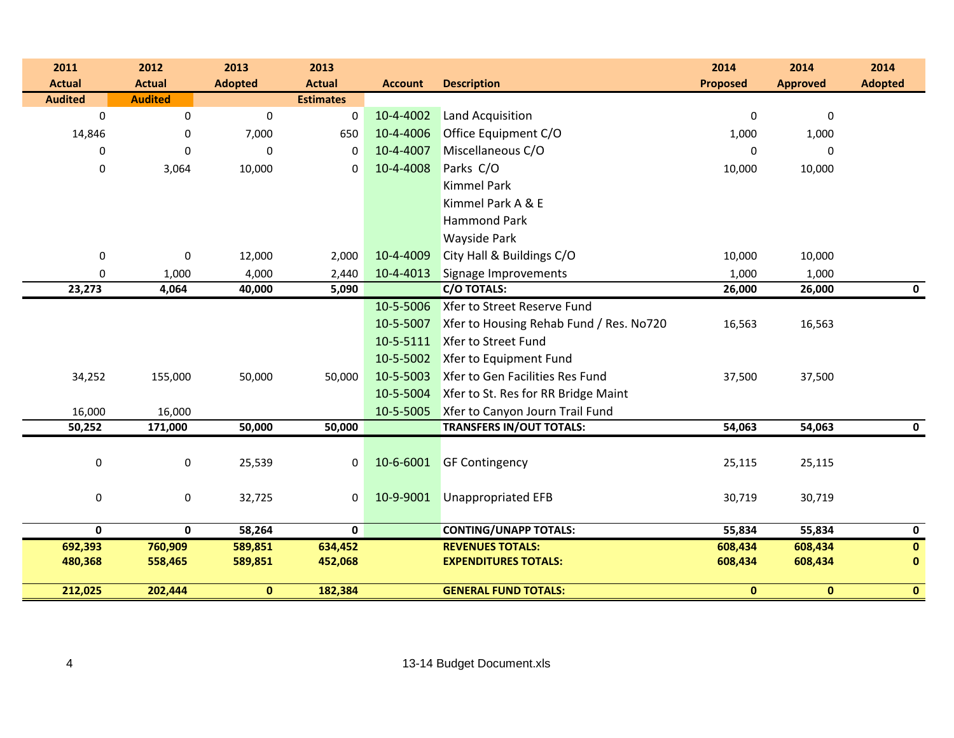| 2011             | 2012           | 2013           | 2013             |                |                                         | 2014            | 2014             | 2014           |
|------------------|----------------|----------------|------------------|----------------|-----------------------------------------|-----------------|------------------|----------------|
| <b>Actual</b>    | <b>Actual</b>  | <b>Adopted</b> | <b>Actual</b>    | <b>Account</b> | <b>Description</b>                      | <b>Proposed</b> | <b>Approved</b>  | <b>Adopted</b> |
| <b>Audited</b>   | <b>Audited</b> |                | <b>Estimates</b> |                |                                         |                 |                  |                |
| $\boldsymbol{0}$ | $\mathbf 0$    | $\pmb{0}$      | $\bf{0}$         | 10-4-4002      | Land Acquisition                        | $\pmb{0}$       | $\boldsymbol{0}$ |                |
| 14,846           | 0              | 7,000          | 650              | 10-4-4006      | Office Equipment C/O                    | 1,000           | 1,000            |                |
| 0                | $\mathbf 0$    | $\mathbf 0$    | $\mathbf 0$      | 10-4-4007      | Miscellaneous C/O                       | $\mathbf 0$     | 0                |                |
| $\mathbf 0$      | 3,064          | 10,000         | 0                | 10-4-4008      | Parks C/O                               | 10,000          | 10,000           |                |
|                  |                |                |                  |                | <b>Kimmel Park</b>                      |                 |                  |                |
|                  |                |                |                  |                | Kimmel Park A & E                       |                 |                  |                |
|                  |                |                |                  |                | <b>Hammond Park</b>                     |                 |                  |                |
|                  |                |                |                  |                | <b>Wayside Park</b>                     |                 |                  |                |
| $\boldsymbol{0}$ | $\mathbf 0$    | 12,000         | 2,000            | 10-4-4009      | City Hall & Buildings C/O               | 10,000          | 10,000           |                |
| $\mathbf 0$      | 1,000          | 4,000          | 2,440            | 10-4-4013      | Signage Improvements                    | 1,000           | 1,000            |                |
| 23,273           | 4,064          | 40,000         | 5,090            |                | C/O TOTALS:                             | 26,000          | 26,000           | 0              |
|                  |                |                |                  | 10-5-5006      | Xfer to Street Reserve Fund             |                 |                  |                |
|                  |                |                |                  | 10-5-5007      | Xfer to Housing Rehab Fund / Res. No720 | 16,563          | 16,563           |                |
|                  |                |                |                  | 10-5-5111      | <b>Xfer to Street Fund</b>              |                 |                  |                |
|                  |                |                |                  | 10-5-5002      | Xfer to Equipment Fund                  |                 |                  |                |
| 34,252           | 155,000        | 50,000         | 50,000           | 10-5-5003      | Xfer to Gen Facilities Res Fund         | 37,500          | 37,500           |                |
|                  |                |                |                  | 10-5-5004      | Xfer to St. Res for RR Bridge Maint     |                 |                  |                |
| 16,000           | 16,000         |                |                  | 10-5-5005      | Xfer to Canyon Journ Trail Fund         |                 |                  |                |
| 50,252           | 171,000        | 50,000         | 50,000           |                | <b>TRANSFERS IN/OUT TOTALS:</b>         | 54,063          | 54,063           | $\mathbf 0$    |
|                  |                |                |                  |                |                                         |                 |                  |                |
| $\pmb{0}$        | $\mathbf 0$    | 25,539         | 0                | 10-6-6001      | <b>GF Contingency</b>                   | 25,115          | 25,115           |                |
|                  |                |                |                  |                |                                         |                 |                  |                |
| $\pmb{0}$        | $\mathbf 0$    | 32,725         | $\mathbf 0$      | 10-9-9001      | <b>Unappropriated EFB</b>               | 30,719          | 30,719           |                |
|                  |                |                |                  |                |                                         |                 |                  |                |
| $\mathbf 0$      | $\mathbf{0}$   | 58,264         | $\mathbf 0$      |                | <b>CONTING/UNAPP TOTALS:</b>            | 55,834          | 55,834           | $\mathbf 0$    |
| 692,393          | 760,909        | 589,851        | 634,452          |                | <b>REVENUES TOTALS:</b>                 | 608,434         | 608,434          | $\mathbf{0}$   |
| 480,368          | 558,465        | 589,851        | 452,068          |                | <b>EXPENDITURES TOTALS:</b>             | 608,434         | 608,434          | $\mathbf 0$    |
| 212,025          | 202,444        | $\mathbf{0}$   | 182,384          |                | <b>GENERAL FUND TOTALS:</b>             | $\mathbf{0}$    | $\mathbf{0}$     | $\mathbf{0}$   |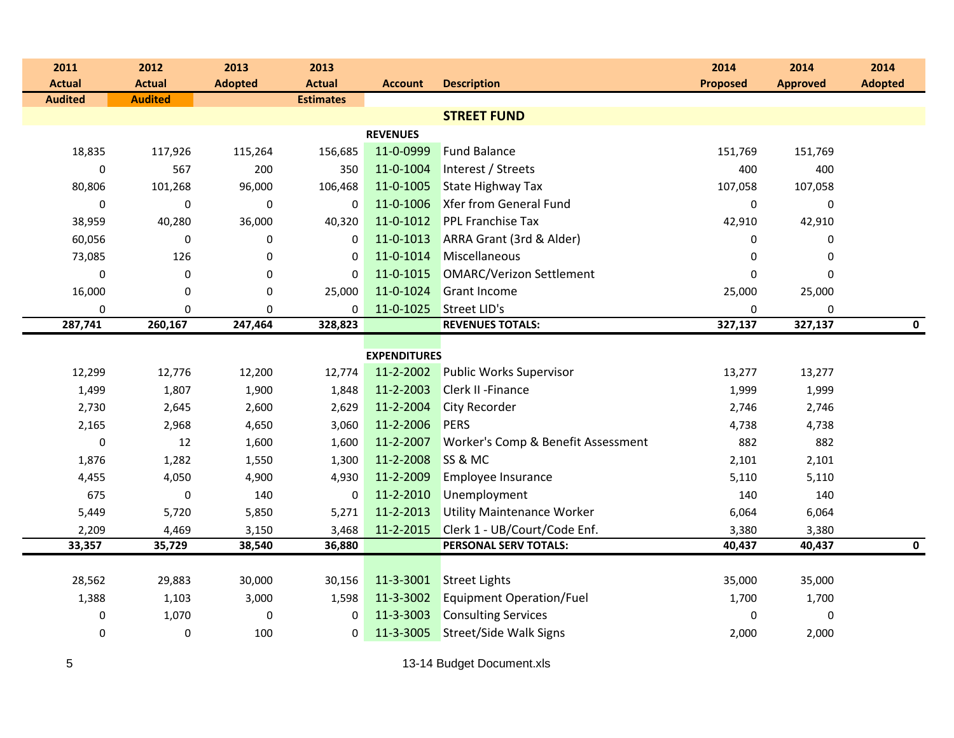| 2011           | 2012           | 2013           | 2013             |                     |                                    | 2014            | 2014            | 2014           |
|----------------|----------------|----------------|------------------|---------------------|------------------------------------|-----------------|-----------------|----------------|
| <b>Actual</b>  | <b>Actual</b>  | <b>Adopted</b> | <b>Actual</b>    | <b>Account</b>      | <b>Description</b>                 | <b>Proposed</b> | <b>Approved</b> | <b>Adopted</b> |
| <b>Audited</b> | <b>Audited</b> |                | <b>Estimates</b> |                     |                                    |                 |                 |                |
|                |                |                |                  |                     | <b>STREET FUND</b>                 |                 |                 |                |
|                |                |                |                  | <b>REVENUES</b>     |                                    |                 |                 |                |
| 18,835         | 117,926        | 115,264        | 156,685          | 11-0-0999           | <b>Fund Balance</b>                | 151,769         | 151,769         |                |
| $\mathbf 0$    | 567            | 200            | 350              | 11-0-1004           | Interest / Streets                 | 400             | 400             |                |
| 80,806         | 101,268        | 96,000         | 106,468          | 11-0-1005           | <b>State Highway Tax</b>           | 107,058         | 107,058         |                |
| 0              | 0              | 0              | 0                | 11-0-1006           | <b>Xfer from General Fund</b>      | 0               | 0               |                |
| 38,959         | 40,280         | 36,000         | 40,320           | 11-0-1012           | <b>PPL Franchise Tax</b>           | 42,910          | 42,910          |                |
| 60,056         | 0              | 0              | 0                | 11-0-1013           | ARRA Grant (3rd & Alder)           | 0               | 0               |                |
| 73,085         | 126            | 0              | $\mathbf 0$      | 11-0-1014           | Miscellaneous                      | 0               | $\mathbf 0$     |                |
| $\pmb{0}$      | $\pmb{0}$      | 0              | $\mathbf 0$      | 11-0-1015           | <b>OMARC/Verizon Settlement</b>    | 0               | $\mathbf 0$     |                |
| 16,000         | $\pmb{0}$      | $\pmb{0}$      | 25,000           | 11-0-1024           | <b>Grant Income</b>                | 25,000          | 25,000          |                |
| 0              | 0              | 0              | 0                | 11-0-1025           | Street LID's                       | 0               | 0               |                |
| 287,741        | 260,167        | 247,464        | 328,823          |                     | <b>REVENUES TOTALS:</b>            | 327,137         | 327,137         | $\mathbf 0$    |
|                |                |                |                  | <b>EXPENDITURES</b> |                                    |                 |                 |                |
| 12,299         | 12,776         | 12,200         | 12,774           | 11-2-2002           | Public Works Supervisor            | 13,277          | 13,277          |                |
| 1,499          | 1,807          | 1,900          | 1,848            | 11-2-2003           | <b>Clerk II - Finance</b>          | 1,999           | 1,999           |                |
| 2,730          | 2,645          | 2,600          | 2,629            | 11-2-2004           | <b>City Recorder</b>               | 2,746           | 2,746           |                |
| 2,165          | 2,968          | 4,650          | 3,060            | 11-2-2006           | <b>PERS</b>                        | 4,738           | 4,738           |                |
| 0              | 12             | 1,600          | 1,600            | 11-2-2007           | Worker's Comp & Benefit Assessment | 882             | 882             |                |
| 1,876          | 1,282          | 1,550          | 1,300            | 11-2-2008           | SS & MC                            | 2,101           | 2,101           |                |
| 4,455          | 4,050          | 4,900          | 4,930            | 11-2-2009           | Employee Insurance                 | 5,110           | 5,110           |                |
| 675            | 0              | 140            | 0                | 11-2-2010           | Unemployment                       | 140             | 140             |                |
| 5,449          | 5,720          | 5,850          | 5,271            | 11-2-2013           | <b>Utility Maintenance Worker</b>  | 6,064           | 6,064           |                |
| 2,209          | 4,469          | 3,150          | 3,468            | 11-2-2015           | Clerk 1 - UB/Court/Code Enf.       | 3,380           | 3,380           |                |
| 33,357         | 35,729         | 38,540         | 36,880           |                     | PERSONAL SERV TOTALS:              | 40,437          | 40,437          | $\mathbf 0$    |
|                |                |                |                  |                     |                                    |                 |                 |                |
| 28,562         | 29,883         | 30,000         | 30,156           | 11-3-3001           | <b>Street Lights</b>               | 35,000          | 35,000          |                |
| 1,388          | 1,103          | 3,000          | 1,598            | 11-3-3002           | <b>Equipment Operation/Fuel</b>    | 1,700           | 1,700           |                |
| 0              | 1,070          | $\pmb{0}$      | 0                | 11-3-3003           | <b>Consulting Services</b>         | 0               | 0               |                |
| 0              | 0              | 100            | 0                | 11-3-3005           | <b>Street/Side Walk Signs</b>      | 2,000           | 2,000           |                |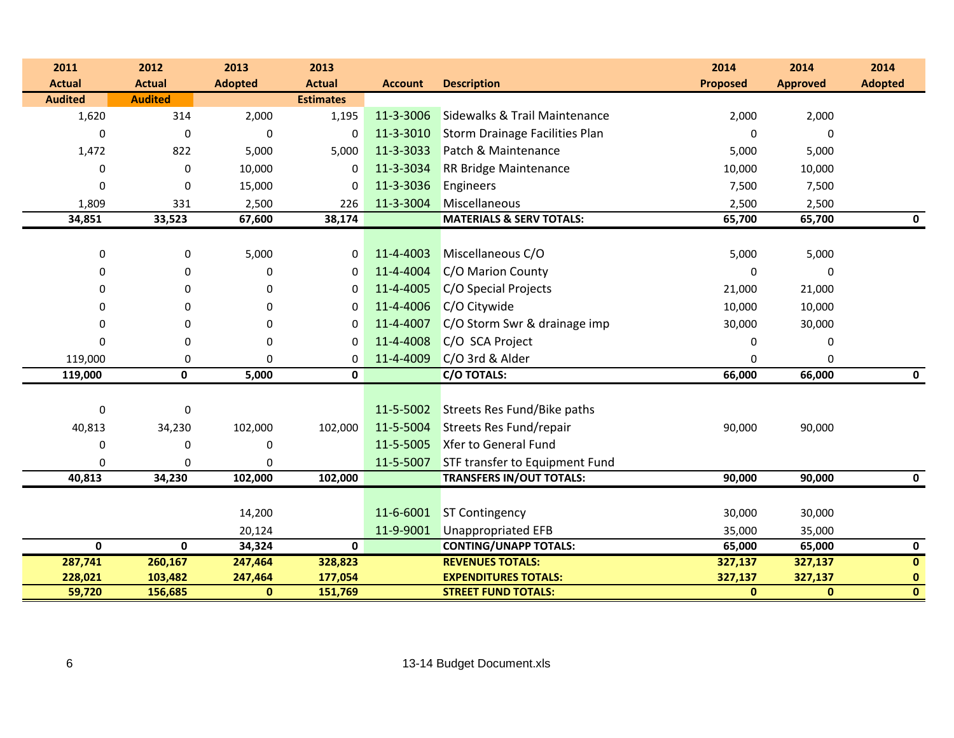| 2011           | 2012           | 2013           | 2013             |                |                                          | 2014            | 2014            | 2014                    |
|----------------|----------------|----------------|------------------|----------------|------------------------------------------|-----------------|-----------------|-------------------------|
| <b>Actual</b>  | <b>Actual</b>  | <b>Adopted</b> | <b>Actual</b>    | <b>Account</b> | <b>Description</b>                       | <b>Proposed</b> | <b>Approved</b> | <b>Adopted</b>          |
| <b>Audited</b> | <b>Audited</b> |                | <b>Estimates</b> |                |                                          |                 |                 |                         |
| 1,620          | 314            | 2,000          | 1,195            | 11-3-3006      | <b>Sidewalks &amp; Trail Maintenance</b> | 2,000           | 2,000           |                         |
| $\Omega$       | $\mathbf 0$    | $\Omega$       | 0                | 11-3-3010      | <b>Storm Drainage Facilities Plan</b>    | 0               | 0               |                         |
| 1,472          | 822            | 5,000          | 5,000            | 11-3-3033      | Patch & Maintenance                      | 5,000           | 5,000           |                         |
| 0              | $\mathbf 0$    | 10,000         | $\Omega$         | 11-3-3034      | <b>RR Bridge Maintenance</b>             | 10,000          | 10,000          |                         |
| $\Omega$       | $\Omega$       | 15,000         | $\Omega$         | 11-3-3036      | Engineers                                | 7,500           | 7,500           |                         |
| 1,809          | 331            | 2,500          | 226              | 11-3-3004      | Miscellaneous                            | 2,500           | 2,500           |                         |
| 34,851         | 33,523         | 67,600         | 38,174           |                | <b>MATERIALS &amp; SERV TOTALS:</b>      | 65,700          | 65,700          | 0                       |
|                |                |                |                  |                |                                          |                 |                 |                         |
| $\pmb{0}$      | 0              | 5,000          | 0                | 11-4-4003      | Miscellaneous C/O                        | 5,000           | 5,000           |                         |
| 0              | 0              | $\Omega$       | 0                | 11-4-4004      | C/O Marion County                        | 0               | 0               |                         |
| 0              | 0              | 0              | 0                | 11-4-4005      | C/O Special Projects                     | 21,000          | 21,000          |                         |
| 0              | $\Omega$       | $\Omega$       | $\Omega$         | 11-4-4006      | C/O Citywide                             | 10,000          | 10,000          |                         |
| 0              | $\Omega$       | $\Omega$       | $\Omega$         | 11-4-4007      | C/O Storm Swr & drainage imp             | 30,000          | 30,000          |                         |
| 0              | 0              | 0              | 0                | 11-4-4008      | C/O SCA Project                          | 0               | 0               |                         |
| 119,000        | 0              | $\Omega$       | 0                | 11-4-4009      | C/O 3rd & Alder                          | 0               | 0               |                         |
| 119,000        | 0              | 5,000          | 0                |                | <b>C/O TOTALS:</b>                       | 66,000          | 66,000          | 0                       |
|                |                |                |                  |                |                                          |                 |                 |                         |
| $\mathbf 0$    | $\mathbf 0$    |                |                  | 11-5-5002      | Streets Res Fund/Bike paths              |                 |                 |                         |
| 40,813         | 34,230         | 102,000        | 102,000          | 11-5-5004      | <b>Streets Res Fund/repair</b>           | 90,000          | 90,000          |                         |
| 0              | $\Omega$       | $\mathbf 0$    |                  | 11-5-5005      | Xfer to General Fund                     |                 |                 |                         |
| 0              | $\Omega$       | 0              |                  | 11-5-5007      | STF transfer to Equipment Fund           |                 |                 |                         |
| 40,813         | 34,230         | 102,000        | 102,000          |                | <b>TRANSFERS IN/OUT TOTALS:</b>          | 90,000          | 90,000          | 0                       |
|                |                |                |                  |                |                                          |                 |                 |                         |
|                |                | 14,200         |                  | 11-6-6001      | <b>ST Contingency</b>                    | 30,000          | 30,000          |                         |
|                |                | 20,124         |                  | 11-9-9001      | <b>Unappropriated EFB</b>                | 35,000          | 35,000          |                         |
| $\mathbf 0$    | $\mathbf 0$    | 34,324         | $\mathbf{0}$     |                | <b>CONTING/UNAPP TOTALS:</b>             | 65,000          | 65,000          | $\mathbf 0$             |
| 287,741        | 260,167        | 247,464        | 328,823          |                | <b>REVENUES TOTALS:</b>                  | 327,137         | 327,137         | $\mathbf 0$             |
| 228,021        | 103,482        | 247,464        | 177,054          |                | <b>EXPENDITURES TOTALS:</b>              | 327,137         | 327,137         | $\pmb{0}$               |
| 59,720         | 156,685        | $\bf{0}$       | 151,769          |                | <b>STREET FUND TOTALS:</b>               | $\mathbf{0}$    | $\mathbf{0}$    | $\overline{\mathbf{0}}$ |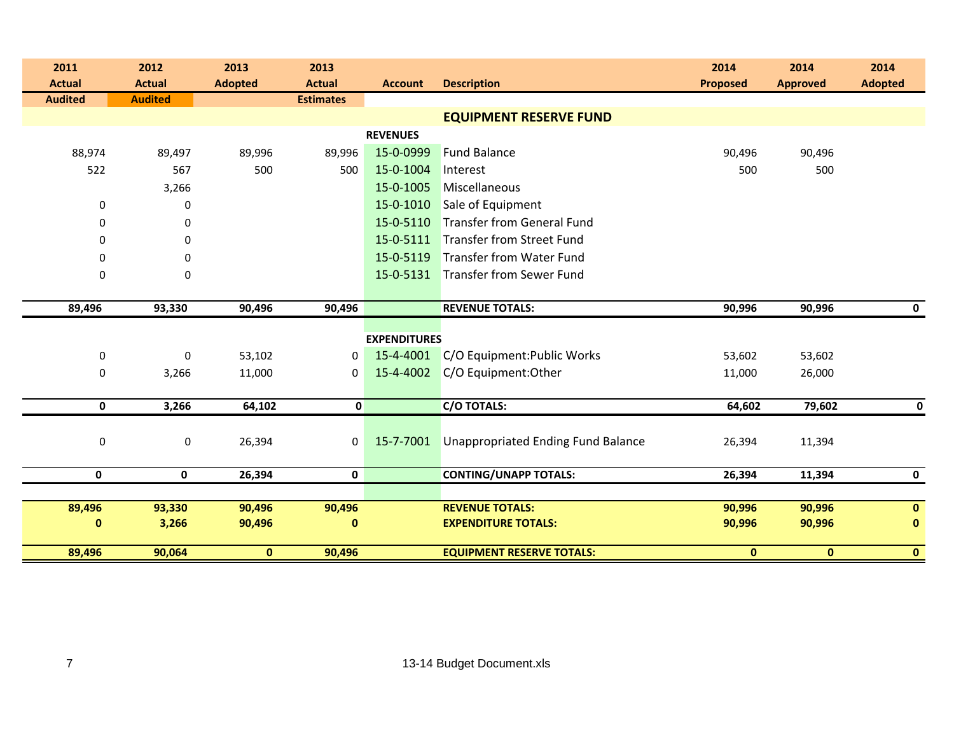| 2011             | 2012           | 2013           | 2013             |                     |                                           | 2014            | 2014            | 2014           |
|------------------|----------------|----------------|------------------|---------------------|-------------------------------------------|-----------------|-----------------|----------------|
| <b>Actual</b>    | <b>Actual</b>  | <b>Adopted</b> | <b>Actual</b>    | <b>Account</b>      | <b>Description</b>                        | <b>Proposed</b> | <b>Approved</b> | <b>Adopted</b> |
| <b>Audited</b>   | <b>Audited</b> |                | <b>Estimates</b> |                     |                                           |                 |                 |                |
|                  |                |                |                  |                     | <b>EQUIPMENT RESERVE FUND</b>             |                 |                 |                |
|                  |                |                |                  | <b>REVENUES</b>     |                                           |                 |                 |                |
| 88,974           | 89,497         | 89,996         | 89,996           | 15-0-0999           | <b>Fund Balance</b>                       | 90,496          | 90,496          |                |
| 522              | 567            | 500            | 500              | 15-0-1004           | Interest                                  | 500             | 500             |                |
|                  | 3,266          |                |                  | 15-0-1005           | Miscellaneous                             |                 |                 |                |
| 0                | 0              |                |                  | 15-0-1010           | Sale of Equipment                         |                 |                 |                |
| 0                | 0              |                |                  | 15-0-5110           | <b>Transfer from General Fund</b>         |                 |                 |                |
| 0                | $\mathbf 0$    |                |                  | 15-0-5111           | <b>Transfer from Street Fund</b>          |                 |                 |                |
| 0                | $\mathbf 0$    |                |                  | 15-0-5119           | <b>Transfer from Water Fund</b>           |                 |                 |                |
| $\boldsymbol{0}$ | 0              |                |                  | 15-0-5131           | <b>Transfer from Sewer Fund</b>           |                 |                 |                |
|                  |                |                |                  |                     |                                           |                 |                 |                |
| 89,496           | 93,330         | 90,496         | 90,496           |                     | <b>REVENUE TOTALS:</b>                    | 90,996          | 90,996          | $\mathbf 0$    |
|                  |                |                |                  |                     |                                           |                 |                 |                |
|                  |                |                |                  | <b>EXPENDITURES</b> |                                           |                 |                 |                |
| $\boldsymbol{0}$ | $\mathbf 0$    | 53,102         | 0                | 15-4-4001           | C/O Equipment: Public Works               | 53,602          | 53,602          |                |
| $\boldsymbol{0}$ | 3,266          | 11,000         | $\mathbf{0}$     | 15-4-4002           | C/O Equipment: Other                      | 11,000          | 26,000          |                |
|                  |                |                |                  |                     |                                           |                 |                 |                |
| $\mathbf 0$      | 3,266          | 64,102         | $\mathbf{0}$     |                     | <b>C/O TOTALS:</b>                        | 64,602          | 79,602          | $\bf{0}$       |
|                  |                |                |                  |                     |                                           |                 |                 |                |
| $\pmb{0}$        | $\pmb{0}$      | 26,394         | 0                | 15-7-7001           | <b>Unappropriated Ending Fund Balance</b> | 26,394          | 11,394          |                |
|                  |                |                |                  |                     |                                           |                 |                 |                |
| 0                | $\mathbf 0$    | 26,394         | 0                |                     | <b>CONTING/UNAPP TOTALS:</b>              | 26,394          | 11,394          | $\mathbf 0$    |
|                  |                |                |                  |                     |                                           |                 |                 |                |
| 89,496           | 93,330         | 90,496         | 90,496           |                     | <b>REVENUE TOTALS:</b>                    | 90,996          | 90,996          | $\mathbf 0$    |
| $\bf{0}$         | 3,266          | 90,496         | $\bf{0}$         |                     | <b>EXPENDITURE TOTALS:</b>                | 90,996          | 90,996          | $\mathbf 0$    |
| 89,496           | 90,064         | $\mathbf{0}$   | 90,496           |                     | <b>EQUIPMENT RESERVE TOTALS:</b>          | $\mathbf{0}$    | $\mathbf{0}$    | $\mathbf{0}$   |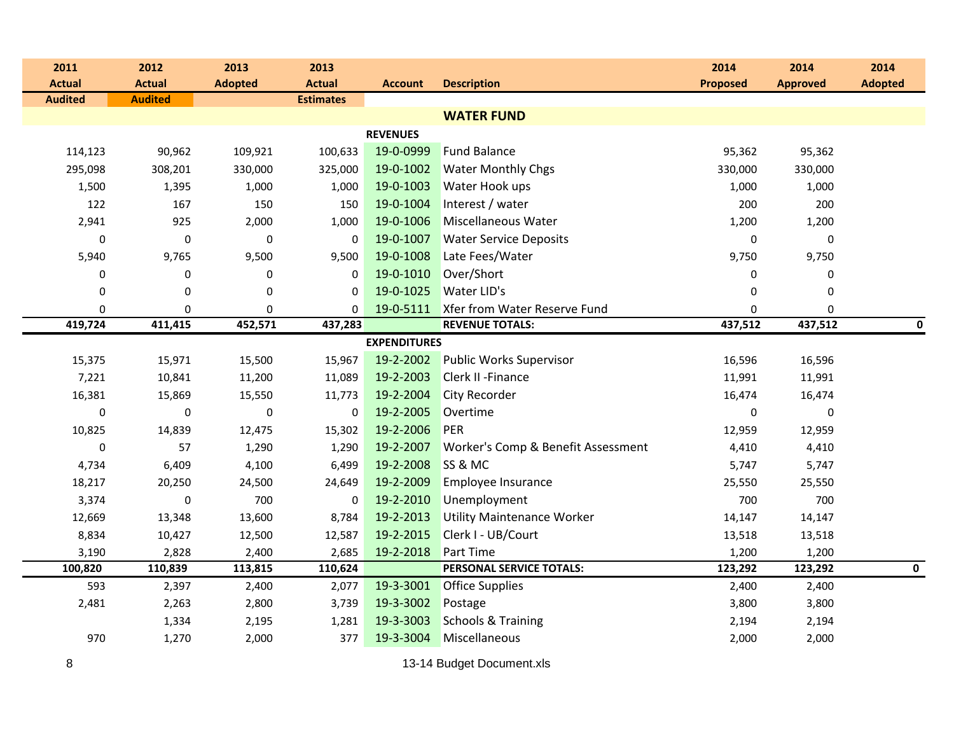| 2011           | 2012           | 2013             | 2013             |                     |                                    | 2014            | 2014            | 2014           |
|----------------|----------------|------------------|------------------|---------------------|------------------------------------|-----------------|-----------------|----------------|
| <b>Actual</b>  | <b>Actual</b>  | <b>Adopted</b>   | <b>Actual</b>    | <b>Account</b>      | <b>Description</b>                 | <b>Proposed</b> | <b>Approved</b> | <b>Adopted</b> |
| <b>Audited</b> | <b>Audited</b> |                  | <b>Estimates</b> |                     |                                    |                 |                 |                |
|                |                |                  |                  |                     | <b>WATER FUND</b>                  |                 |                 |                |
|                |                |                  |                  | <b>REVENUES</b>     |                                    |                 |                 |                |
| 114,123        | 90,962         | 109,921          | 100,633          | 19-0-0999           | <b>Fund Balance</b>                | 95,362          | 95,362          |                |
| 295,098        | 308,201        | 330,000          | 325,000          | 19-0-1002           | <b>Water Monthly Chgs</b>          | 330,000         | 330,000         |                |
| 1,500          | 1,395          | 1,000            | 1,000            | 19-0-1003           | Water Hook ups                     | 1,000           | 1,000           |                |
| 122            | 167            | 150              | 150              | 19-0-1004           | Interest / water                   | 200             | 200             |                |
| 2,941          | 925            | 2,000            | 1,000            | 19-0-1006           | Miscellaneous Water                | 1,200           | 1,200           |                |
| $\mathbf 0$    | $\pmb{0}$      | $\pmb{0}$        | $\mathbf 0$      | 19-0-1007           | <b>Water Service Deposits</b>      | $\pmb{0}$       | 0               |                |
| 5,940          | 9,765          | 9,500            | 9,500            | 19-0-1008           | Late Fees/Water                    | 9,750           | 9,750           |                |
| $\mathbf 0$    | $\mathbf 0$    | 0                | 0                | 19-0-1010           | Over/Short                         | 0               | 0               |                |
| $\mathbf 0$    | $\mathbf 0$    | $\mathbf 0$      | $\Omega$         | 19-0-1025           | <b>Water LID's</b>                 | $\mathbf 0$     | 0               |                |
| $\pmb{0}$      | 0              | 0                | 0                | 19-0-5111           | Xfer from Water Reserve Fund       | 0               | $\mathbf 0$     |                |
| 419,724        | 411,415        | 452,571          | 437,283          |                     | <b>REVENUE TOTALS:</b>             | 437,512         | 437,512         | 0              |
|                |                |                  |                  | <b>EXPENDITURES</b> |                                    |                 |                 |                |
| 15,375         | 15,971         | 15,500           | 15,967           | 19-2-2002           | <b>Public Works Supervisor</b>     | 16,596          | 16,596          |                |
| 7,221          | 10,841         | 11,200           | 11,089           | 19-2-2003           | <b>Clerk II - Finance</b>          | 11,991          | 11,991          |                |
| 16,381         | 15,869         | 15,550           | 11,773           | 19-2-2004           | City Recorder                      | 16,474          | 16,474          |                |
| $\mathbf 0$    | $\mathbf 0$    | $\boldsymbol{0}$ | $\mathbf 0$      | 19-2-2005           | Overtime                           | $\bf{0}$        | 0               |                |
| 10,825         | 14,839         | 12,475           | 15,302           | 19-2-2006           | PER                                | 12,959          | 12,959          |                |
| $\mathbf 0$    | 57             | 1,290            | 1,290            | 19-2-2007           | Worker's Comp & Benefit Assessment | 4,410           | 4,410           |                |
| 4,734          | 6,409          | 4,100            | 6,499            | 19-2-2008           | SS & MC                            | 5,747           | 5,747           |                |
| 18,217         | 20,250         | 24,500           | 24,649           | 19-2-2009           | Employee Insurance                 | 25,550          | 25,550          |                |
| 3,374          | 0              | 700              | $\mathbf 0$      | 19-2-2010           | Unemployment                       | 700             | 700             |                |
| 12,669         | 13,348         | 13,600           | 8,784            | 19-2-2013           | <b>Utility Maintenance Worker</b>  | 14,147          | 14,147          |                |
| 8,834          | 10,427         | 12,500           | 12,587           | 19-2-2015           | Clerk I - UB/Court                 | 13,518          | 13,518          |                |
| 3,190          | 2,828          | 2,400            | 2,685            | 19-2-2018           | Part Time                          | 1,200           | 1,200           |                |
| 100,820        | 110,839        | 113,815          | 110,624          |                     | PERSONAL SERVICE TOTALS:           | 123,292         | 123,292         | $\mathbf 0$    |
| 593            | 2,397          | 2,400            | 2,077            | 19-3-3001           | <b>Office Supplies</b>             | 2,400           | 2,400           |                |
| 2,481          | 2,263          | 2,800            | 3,739            | 19-3-3002           | Postage                            | 3,800           | 3,800           |                |
|                | 1,334          | 2,195            | 1,281            | 19-3-3003           | <b>Schools &amp; Training</b>      | 2,194           | 2,194           |                |
| 970            | 1,270          | 2,000            | 377              | 19-3-3004           | Miscellaneous                      | 2,000           | 2,000           |                |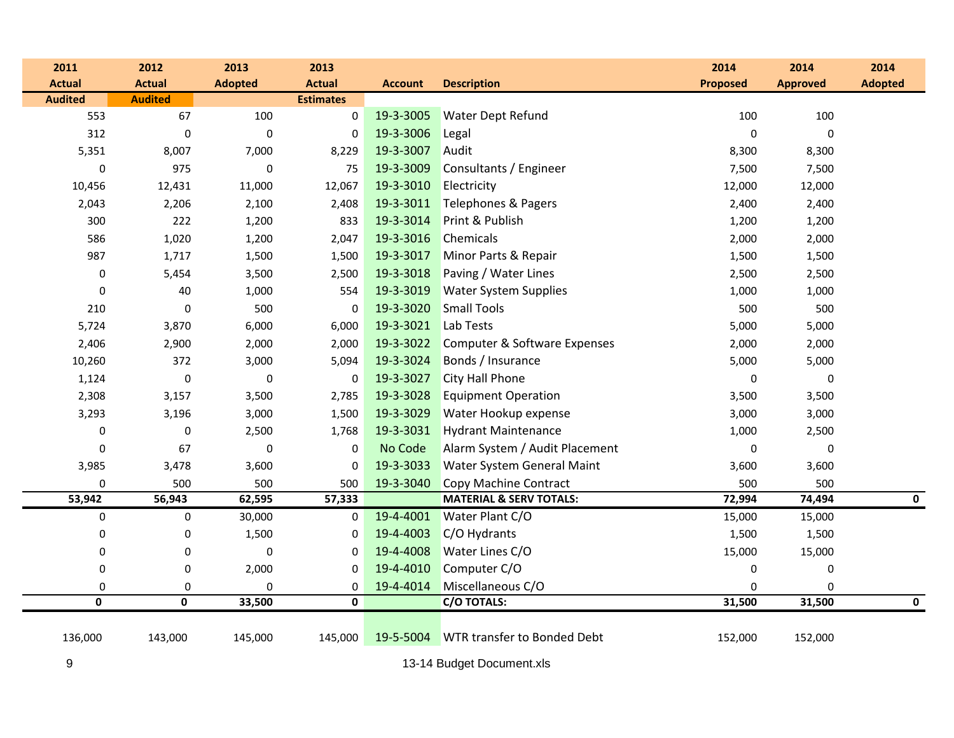| 2011                    | 2012             | 2013           | 2013             |                |                                    | 2014            | 2014            | 2014           |
|-------------------------|------------------|----------------|------------------|----------------|------------------------------------|-----------------|-----------------|----------------|
| <b>Actual</b>           | <b>Actual</b>    | <b>Adopted</b> | <b>Actual</b>    | <b>Account</b> | <b>Description</b>                 | <b>Proposed</b> | <b>Approved</b> | <b>Adopted</b> |
| <b>Audited</b>          | <b>Audited</b>   |                | <b>Estimates</b> |                |                                    |                 |                 |                |
| 553                     | 67               | 100            | $\pmb{0}$        | 19-3-3005      | <b>Water Dept Refund</b>           | 100             | 100             |                |
| 312                     | $\boldsymbol{0}$ | $\pmb{0}$      | 0                | 19-3-3006      | Legal                              | $\pmb{0}$       | $\mathbf 0$     |                |
| 5,351                   | 8,007            | 7,000          | 8,229            | 19-3-3007      | Audit                              | 8,300           | 8,300           |                |
| $\mathbf 0$             | 975              | $\pmb{0}$      | 75               | 19-3-3009      | Consultants / Engineer             | 7,500           | 7,500           |                |
| 10,456                  | 12,431           | 11,000         | 12,067           | 19-3-3010      | Electricity                        | 12,000          | 12,000          |                |
| 2,043                   | 2,206            | 2,100          | 2,408            | 19-3-3011      | Telephones & Pagers                | 2,400           | 2,400           |                |
| 300                     | 222              | 1,200          | 833              | 19-3-3014      | Print & Publish                    | 1,200           | 1,200           |                |
| 586                     | 1,020            | 1,200          | 2,047            | 19-3-3016      | Chemicals                          | 2,000           | 2,000           |                |
| 987                     | 1,717            | 1,500          | 1,500            | 19-3-3017      | Minor Parts & Repair               | 1,500           | 1,500           |                |
| $\boldsymbol{0}$        | 5,454            | 3,500          | 2,500            | 19-3-3018      | Paving / Water Lines               | 2,500           | 2,500           |                |
| 0                       | 40               | 1,000          | 554              | 19-3-3019      | <b>Water System Supplies</b>       | 1,000           | 1,000           |                |
| 210                     | $\boldsymbol{0}$ | 500            | $\boldsymbol{0}$ | 19-3-3020      | <b>Small Tools</b>                 | 500             | 500             |                |
| 5,724                   | 3,870            | 6,000          | 6,000            | 19-3-3021      | Lab Tests                          | 5,000           | 5,000           |                |
| 2,406                   | 2,900            | 2,000          | 2,000            | 19-3-3022      | Computer & Software Expenses       | 2,000           | 2,000           |                |
| 10,260                  | 372              | 3,000          | 5,094            | 19-3-3024      | Bonds / Insurance                  | 5,000           | 5,000           |                |
| 1,124                   | $\pmb{0}$        | $\pmb{0}$      | 0                | 19-3-3027      | <b>City Hall Phone</b>             | 0               | $\pmb{0}$       |                |
| 2,308                   | 3,157            | 3,500          | 2,785            | 19-3-3028      | <b>Equipment Operation</b>         | 3,500           | 3,500           |                |
| 3,293                   | 3,196            | 3,000          | 1,500            | 19-3-3029      | Water Hookup expense               | 3,000           | 3,000           |                |
| 0                       | $\boldsymbol{0}$ | 2,500          | 1,768            | 19-3-3031      | <b>Hydrant Maintenance</b>         | 1,000           | 2,500           |                |
| 0                       | 67               | $\pmb{0}$      | 0                | No Code        | Alarm System / Audit Placement     | $\pmb{0}$       | $\pmb{0}$       |                |
| 3,985                   | 3,478            | 3,600          | 0                | 19-3-3033      | Water System General Maint         | 3,600           | 3,600           |                |
| 0                       | 500              | 500            | 500              | 19-3-3040      | Copy Machine Contract              | 500             | 500             |                |
| 53,942                  | 56,943           | 62,595         | 57,333           |                | <b>MATERIAL &amp; SERV TOTALS:</b> | 72,994          | 74,494          | $\mathbf 0$    |
| $\pmb{0}$               | $\pmb{0}$        | 30,000         | 0                | 19-4-4001      | Water Plant C/O                    | 15,000          | 15,000          |                |
| 0                       | $\pmb{0}$        | 1,500          | 0                | 19-4-4003      | C/O Hydrants                       | 1,500           | 1,500           |                |
| 0                       | $\pmb{0}$        | $\pmb{0}$      | $\boldsymbol{0}$ | 19-4-4008      | Water Lines C/O                    | 15,000          | 15,000          |                |
| $\boldsymbol{0}$        | $\boldsymbol{0}$ | 2,000          | 0                | 19-4-4010      | Computer C/O                       | 0               | $\pmb{0}$       |                |
| 0                       | 0                | $\pmb{0}$      | 0                | 19-4-4014      | Miscellaneous C/O                  | 0               | 0               |                |
| $\overline{\mathbf{0}}$ | $\mathbf{0}$     | 33,500         | $\mathbf 0$      |                | C/O TOTALS:                        | 31,500          | 31,500          | $\mathbf 0$    |
| 136,000                 | 143,000          | 145,000        | 145,000          | 19-5-5004      | <b>WTR transfer to Bonded Debt</b> | 152,000         | 152,000         |                |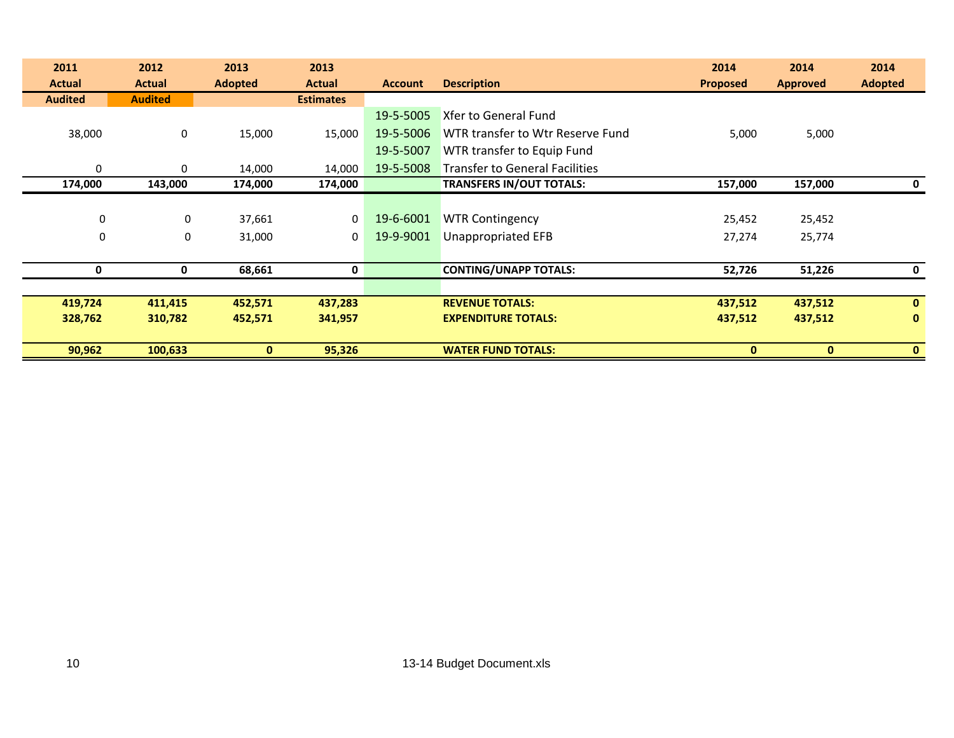| 2011           | 2012           | 2013           | 2013             |                |                                       | 2014            | 2014            | 2014           |
|----------------|----------------|----------------|------------------|----------------|---------------------------------------|-----------------|-----------------|----------------|
| <b>Actual</b>  | <b>Actual</b>  | <b>Adopted</b> | <b>Actual</b>    | <b>Account</b> | <b>Description</b>                    | <b>Proposed</b> | <b>Approved</b> | <b>Adopted</b> |
| <b>Audited</b> | <b>Audited</b> |                | <b>Estimates</b> |                |                                       |                 |                 |                |
|                |                |                |                  | 19-5-5005      | Xfer to General Fund                  |                 |                 |                |
| 38,000         | 0              | 15,000         | 15,000           | 19-5-5006      | WTR transfer to Wtr Reserve Fund      | 5,000           | 5,000           |                |
|                |                |                |                  | 19-5-5007      | WTR transfer to Equip Fund            |                 |                 |                |
| $\mathbf 0$    | $\Omega$       | 14,000         | 14,000           | 19-5-5008      | <b>Transfer to General Facilities</b> |                 |                 |                |
| 174,000        | 143,000        | 174,000        | 174,000          |                | <b>TRANSFERS IN/OUT TOTALS:</b>       | 157,000         | 157,000         | 0              |
|                |                |                |                  |                |                                       |                 |                 |                |
| $\mathbf 0$    | 0              | 37,661         | 0                | 19-6-6001      | <b>WTR Contingency</b>                | 25,452          | 25,452          |                |
| $\mathbf 0$    | $\mathbf 0$    | 31,000         | 0                | 19-9-9001      | <b>Unappropriated EFB</b>             | 27,274          | 25,774          |                |
|                |                |                |                  |                |                                       |                 |                 |                |
| 0              | 0              | 68,661         | 0                |                | <b>CONTING/UNAPP TOTALS:</b>          | 52,726          | 51,226          | 0              |
|                |                |                |                  |                |                                       |                 |                 |                |
| 419,724        | 411,415        | 452,571        | 437,283          |                | <b>REVENUE TOTALS:</b>                | 437,512         | 437,512         | $\mathbf{0}$   |
| 328,762        | 310,782        | 452,571        | 341,957          |                | <b>EXPENDITURE TOTALS:</b>            | 437,512         | 437,512         | $\mathbf{0}$   |
|                |                |                |                  |                |                                       |                 |                 |                |
| 90,962         | 100,633        | $\mathbf{0}$   | 95,326           |                | <b>WATER FUND TOTALS:</b>             | 0               | $\mathbf{0}$    | $\mathbf{0}$   |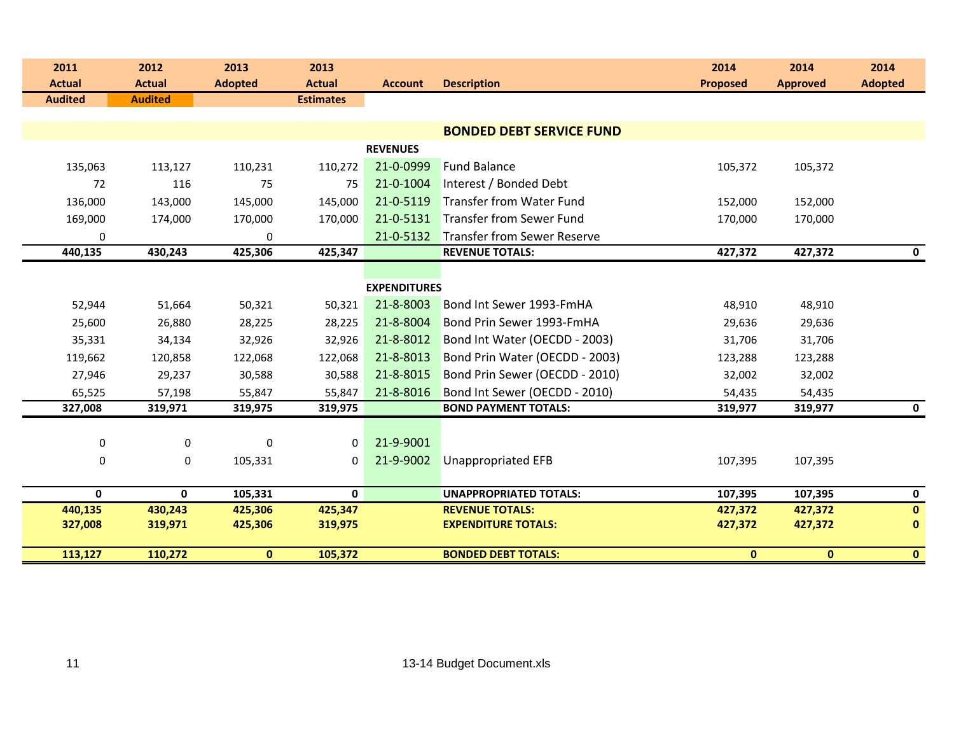| 2011<br><b>Actual</b> | 2012<br><b>Actual</b> | 2013<br><b>Adopted</b> | 2013<br><b>Actual</b> | <b>Account</b>      | <b>Description</b>                 | 2014<br><b>Proposed</b> | 2014<br><b>Approved</b> | 2014<br><b>Adopted</b> |
|-----------------------|-----------------------|------------------------|-----------------------|---------------------|------------------------------------|-------------------------|-------------------------|------------------------|
| <b>Audited</b>        | <b>Audited</b>        |                        | <b>Estimates</b>      |                     |                                    |                         |                         |                        |
|                       |                       |                        |                       |                     |                                    |                         |                         |                        |
|                       |                       |                        |                       |                     | <b>BONDED DEBT SERVICE FUND</b>    |                         |                         |                        |
|                       |                       |                        |                       | <b>REVENUES</b>     |                                    |                         |                         |                        |
| 135,063               | 113,127               | 110,231                | 110,272               | 21-0-0999           | <b>Fund Balance</b>                | 105,372                 | 105,372                 |                        |
| 72                    | 116                   | 75                     | 75                    | 21-0-1004           | Interest / Bonded Debt             |                         |                         |                        |
| 136,000               | 143,000               | 145,000                | 145,000               | 21-0-5119           | Transfer from Water Fund           | 152,000                 | 152,000                 |                        |
| 169,000               | 174,000               | 170,000                | 170,000               | 21-0-5131           | <b>Transfer from Sewer Fund</b>    | 170,000                 | 170,000                 |                        |
| $\mathbf 0$           |                       | 0                      |                       | 21-0-5132           | <b>Transfer from Sewer Reserve</b> |                         |                         |                        |
| 440,135               | 430,243               | 425,306                | 425,347               |                     | <b>REVENUE TOTALS:</b>             | 427,372                 | 427,372                 | $\mathbf 0$            |
|                       |                       |                        |                       |                     |                                    |                         |                         |                        |
|                       |                       |                        |                       | <b>EXPENDITURES</b> |                                    |                         |                         |                        |
| 52,944                | 51,664                | 50,321                 | 50,321                | 21-8-8003           | Bond Int Sewer 1993-FmHA           | 48,910                  | 48,910                  |                        |
| 25,600                | 26,880                | 28,225                 | 28,225                | 21-8-8004           | Bond Prin Sewer 1993-FmHA          | 29,636                  | 29,636                  |                        |
| 35,331                | 34,134                | 32,926                 | 32,926                | 21-8-8012           | Bond Int Water (OECDD - 2003)      | 31,706                  | 31,706                  |                        |
| 119,662               | 120,858               | 122,068                | 122,068               | 21-8-8013           | Bond Prin Water (OECDD - 2003)     | 123,288                 | 123,288                 |                        |
| 27,946                | 29,237                | 30,588                 | 30,588                | 21-8-8015           | Bond Prin Sewer (OECDD - 2010)     | 32,002                  | 32,002                  |                        |
| 65,525                | 57,198                | 55,847                 | 55,847                | 21-8-8016           | Bond Int Sewer (OECDD - 2010)      | 54,435                  | 54,435                  |                        |
| 327,008               | 319,971               | 319,975                | 319,975               |                     | <b>BOND PAYMENT TOTALS:</b>        | 319,977                 | 319,977                 | $\mathbf 0$            |
|                       |                       |                        |                       |                     |                                    |                         |                         |                        |
| $\pmb{0}$             | $\mathbf 0$           | $\pmb{0}$              | $\mathbf{0}$          | 21-9-9001           |                                    |                         |                         |                        |
| $\pmb{0}$             | 0                     | 105,331                | 0                     | 21-9-9002           | <b>Unappropriated EFB</b>          | 107,395                 | 107,395                 |                        |
|                       |                       |                        |                       |                     |                                    |                         |                         |                        |
| $\mathbf 0$           | $\mathbf{0}$          | 105,331                | 0                     |                     | <b>UNAPPROPRIATED TOTALS:</b>      | 107,395                 | 107,395                 | $\mathbf 0$            |
| 440,135               | 430,243               | 425,306                | 425,347               |                     | <b>REVENUE TOTALS:</b>             | 427,372                 | 427,372                 | $\mathbf{0}$           |
| 327,008               | 319,971               | 425,306                | 319,975               |                     | <b>EXPENDITURE TOTALS:</b>         | 427,372                 | 427,372                 | $\mathbf 0$            |
| 113,127               | 110,272               | $\mathbf{0}$           | 105,372               |                     | <b>BONDED DEBT TOTALS:</b>         | $\mathbf{0}$            | $\mathbf{0}$            | $\mathbf{0}$           |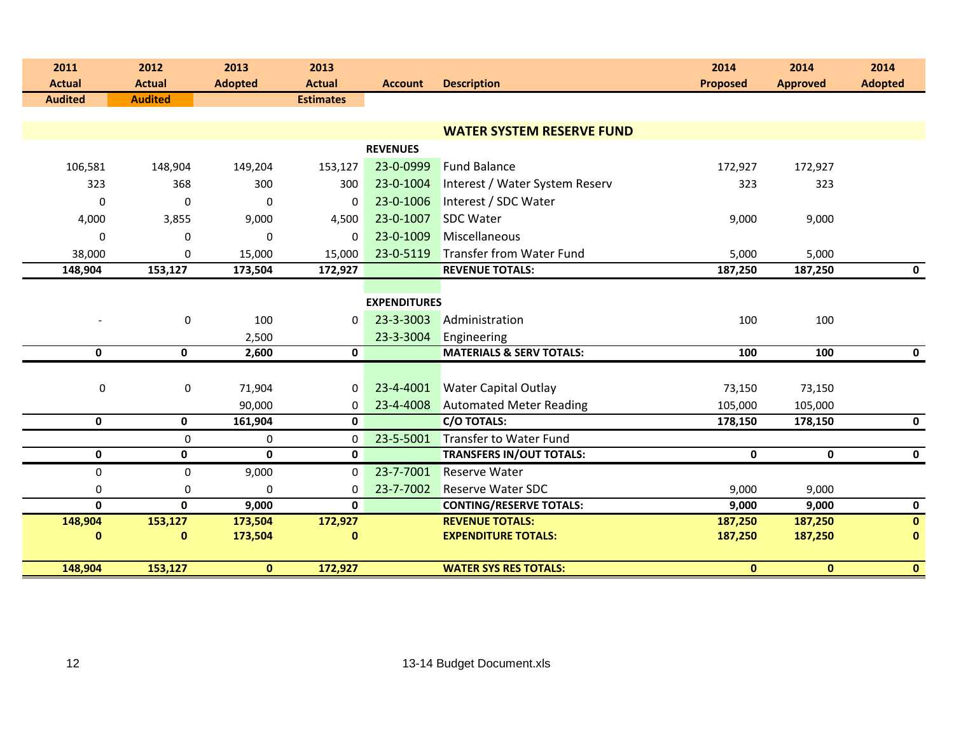| 2011<br><b>Actual</b>    | 2012<br><b>Actual</b> | 2013<br><b>Adopted</b> | 2013<br><b>Actual</b> | <b>Account</b>      | <b>Description</b>                  | 2014<br><b>Proposed</b> | 2014<br><b>Approved</b> | 2014<br><b>Adopted</b> |
|--------------------------|-----------------------|------------------------|-----------------------|---------------------|-------------------------------------|-------------------------|-------------------------|------------------------|
| <b>Audited</b>           | <b>Audited</b>        |                        | <b>Estimates</b>      |                     |                                     |                         |                         |                        |
|                          |                       |                        |                       |                     |                                     |                         |                         |                        |
|                          |                       |                        |                       |                     | <b>WATER SYSTEM RESERVE FUND</b>    |                         |                         |                        |
|                          |                       |                        |                       | <b>REVENUES</b>     |                                     |                         |                         |                        |
| 106,581                  | 148,904               | 149,204                | 153,127               | 23-0-0999           | <b>Fund Balance</b>                 | 172,927                 | 172,927                 |                        |
| 323                      | 368                   | 300                    | 300                   | 23-0-1004           | Interest / Water System Reserv      | 323                     | 323                     |                        |
| 0                        | 0                     | $\mathbf 0$            | $\mathbf 0$           | 23-0-1006           | Interest / SDC Water                |                         |                         |                        |
| 4,000                    | 3,855                 | 9,000                  | 4,500                 | 23-0-1007           | <b>SDC Water</b>                    | 9,000                   | 9,000                   |                        |
| $\mathbf 0$              | 0                     | $\mathbf 0$            | $\Omega$              | 23-0-1009           | Miscellaneous                       |                         |                         |                        |
| 38,000                   | $\mathbf{0}$          | 15,000                 | 15,000                | 23-0-5119           | <b>Transfer from Water Fund</b>     | 5,000                   | 5,000                   |                        |
| 148,904                  | 153,127               | 173,504                | 172,927               |                     | <b>REVENUE TOTALS:</b>              | 187,250                 | 187,250                 | $\mathbf 0$            |
|                          |                       |                        |                       |                     |                                     |                         |                         |                        |
|                          |                       |                        |                       | <b>EXPENDITURES</b> |                                     |                         |                         |                        |
| $\overline{\phantom{a}}$ | $\pmb{0}$             | 100                    | $\mathbf{0}$          | 23-3-3003           | Administration                      | 100                     | 100                     |                        |
|                          |                       | 2,500                  |                       | 23-3-3004           | Engineering                         |                         |                         |                        |
| $\mathbf 0$              | $\mathbf 0$           | 2,600                  | $\mathbf 0$           |                     | <b>MATERIALS &amp; SERV TOTALS:</b> | 100                     | 100                     | $\mathbf 0$            |
|                          |                       |                        |                       |                     |                                     |                         |                         |                        |
| 0                        | $\pmb{0}$             | 71,904                 | 0                     | 23-4-4001           | <b>Water Capital Outlay</b>         | 73,150                  | 73,150                  |                        |
|                          |                       | 90,000                 | 0                     | 23-4-4008           | <b>Automated Meter Reading</b>      | 105,000                 | 105,000                 |                        |
| $\mathbf 0$              | 0                     | 161,904                | $\mathbf 0$           |                     | <b>C/O TOTALS:</b>                  | 178,150                 | 178,150                 | $\mathbf 0$            |
|                          | $\mathbf 0$           | 0                      | $\mathbf 0$           | 23-5-5001           | <b>Transfer to Water Fund</b>       |                         |                         |                        |
| $\mathbf 0$              | 0                     | $\mathbf 0$            | 0                     |                     | <b>TRANSFERS IN/OUT TOTALS:</b>     | 0                       | 0                       | $\mathbf 0$            |
| 0                        | $\mathbf 0$           | 9,000                  | $\mathbf{0}$          | 23-7-7001           | <b>Reserve Water</b>                |                         |                         |                        |
| 0                        | 0                     | 0                      | 0                     | 23-7-7002           | <b>Reserve Water SDC</b>            | 9,000                   | 9,000                   |                        |
| $\mathbf{0}$             | 0                     | 9,000                  | $\mathbf{0}$          |                     | <b>CONTING/RESERVE TOTALS:</b>      | 9,000                   | 9,000                   | $\mathbf 0$            |
| 148,904                  | 153,127               | 173,504                | 172,927               |                     | <b>REVENUE TOTALS:</b>              | 187,250                 | 187,250                 | $\mathbf{0}$           |
| 0                        | $\mathbf{0}$          | 173,504                | $\bf{0}$              |                     | <b>EXPENDITURE TOTALS:</b>          | 187,250                 | 187,250                 | $\mathbf 0$            |
| 148,904                  | 153,127               | $\mathbf{0}$           | 172,927               |                     | <b>WATER SYS RES TOTALS:</b>        | $\mathbf{0}$            | $\mathbf{0}$            | $\mathbf{0}$           |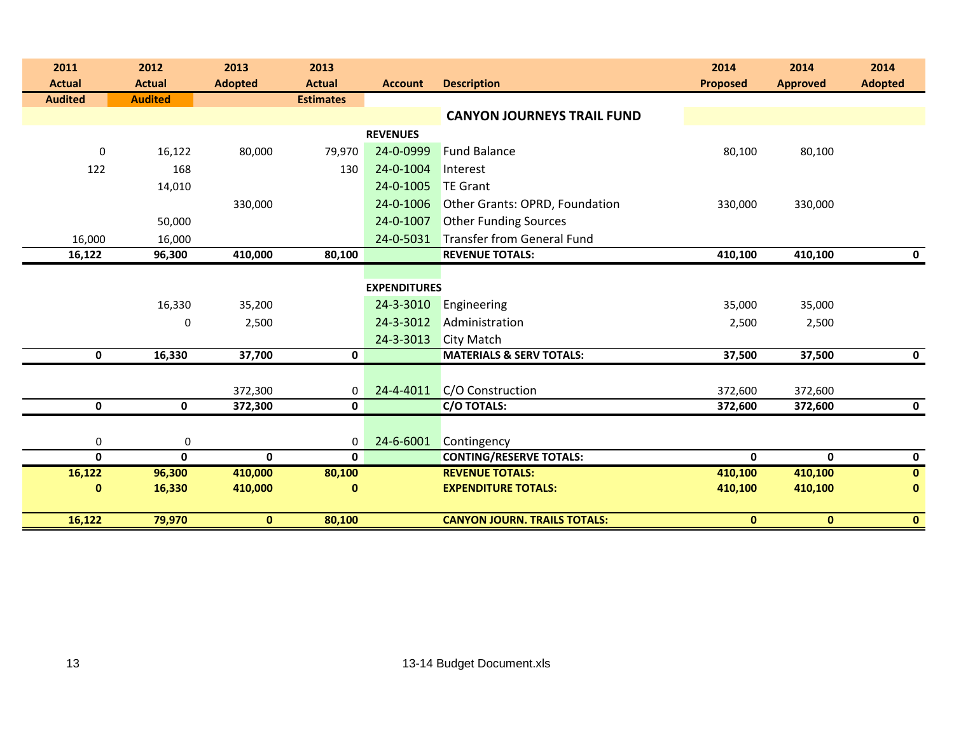| 2011                            | 2012                            | 2013           | 2013                              |                     |                                     | 2014            | 2014            | 2014           |
|---------------------------------|---------------------------------|----------------|-----------------------------------|---------------------|-------------------------------------|-----------------|-----------------|----------------|
| <b>Actual</b><br><b>Audited</b> | <b>Actual</b><br><b>Audited</b> | <b>Adopted</b> | <b>Actual</b><br><b>Estimates</b> | <b>Account</b>      | <b>Description</b>                  | <b>Proposed</b> | <b>Approved</b> | <b>Adopted</b> |
|                                 |                                 |                |                                   |                     | <b>CANYON JOURNEYS TRAIL FUND</b>   |                 |                 |                |
|                                 |                                 |                |                                   | <b>REVENUES</b>     |                                     |                 |                 |                |
| 0                               | 16,122                          | 80,000         | 79,970                            | 24-0-0999           | <b>Fund Balance</b>                 | 80,100          | 80,100          |                |
| 122                             | 168                             |                | 130                               | 24-0-1004           | Interest                            |                 |                 |                |
|                                 | 14,010                          |                |                                   | 24-0-1005           | <b>TE Grant</b>                     |                 |                 |                |
|                                 |                                 | 330,000        |                                   | 24-0-1006           | Other Grants: OPRD, Foundation      | 330,000         | 330,000         |                |
|                                 | 50,000                          |                |                                   | 24-0-1007           | <b>Other Funding Sources</b>        |                 |                 |                |
| 16,000                          | 16,000                          |                |                                   | 24-0-5031           | Transfer from General Fund          |                 |                 |                |
| 16,122                          | 96,300                          | 410,000        | 80,100                            |                     | <b>REVENUE TOTALS:</b>              | 410,100         | 410,100         | $\mathbf 0$    |
|                                 |                                 |                |                                   |                     |                                     |                 |                 |                |
|                                 |                                 |                |                                   | <b>EXPENDITURES</b> |                                     |                 |                 |                |
|                                 | 16,330                          | 35,200         |                                   | 24-3-3010           | Engineering                         | 35,000          | 35,000          |                |
|                                 | 0                               | 2,500          |                                   | 24-3-3012           | Administration                      | 2,500           | 2,500           |                |
|                                 |                                 |                |                                   | 24-3-3013           | <b>City Match</b>                   |                 |                 |                |
| $\mathbf 0$                     | 16,330                          | 37,700         | 0                                 |                     | <b>MATERIALS &amp; SERV TOTALS:</b> | 37,500          | 37,500          | $\mathbf 0$    |
|                                 |                                 |                |                                   |                     |                                     |                 |                 |                |
|                                 |                                 | 372,300        | 0                                 | 24-4-4011           | C/O Construction                    | 372,600         | 372,600         |                |
| 0                               | 0                               | 372,300        | 0                                 |                     | <b>C/O TOTALS:</b>                  | 372,600         | 372,600         | $\mathbf 0$    |
|                                 |                                 |                |                                   |                     |                                     |                 |                 |                |
| $\boldsymbol{0}$                | 0                               |                | $\mathbf 0$                       | 24-6-6001           | Contingency                         |                 |                 |                |
| $\mathbf 0$                     | $\mathbf 0$                     | $\mathbf 0$    | $\mathbf{0}$                      |                     | <b>CONTING/RESERVE TOTALS:</b>      | 0               | $\mathbf{0}$    | $\mathbf 0$    |
| 16,122                          | 96,300                          | 410,000        | 80,100                            |                     | <b>REVENUE TOTALS:</b>              | 410,100         | 410,100         | $\mathbf{0}$   |
| $\bf{0}$                        | 16,330                          | 410,000        | $\bf{0}$                          |                     | <b>EXPENDITURE TOTALS:</b>          | 410,100         | 410,100         | $\bf{0}$       |
|                                 |                                 |                |                                   |                     |                                     |                 |                 |                |
| 16,122                          | 79,970                          | $\mathbf{0}$   | 80,100                            |                     | <b>CANYON JOURN. TRAILS TOTALS:</b> | $\mathbf 0$     | $\mathbf{0}$    | $\mathbf{0}$   |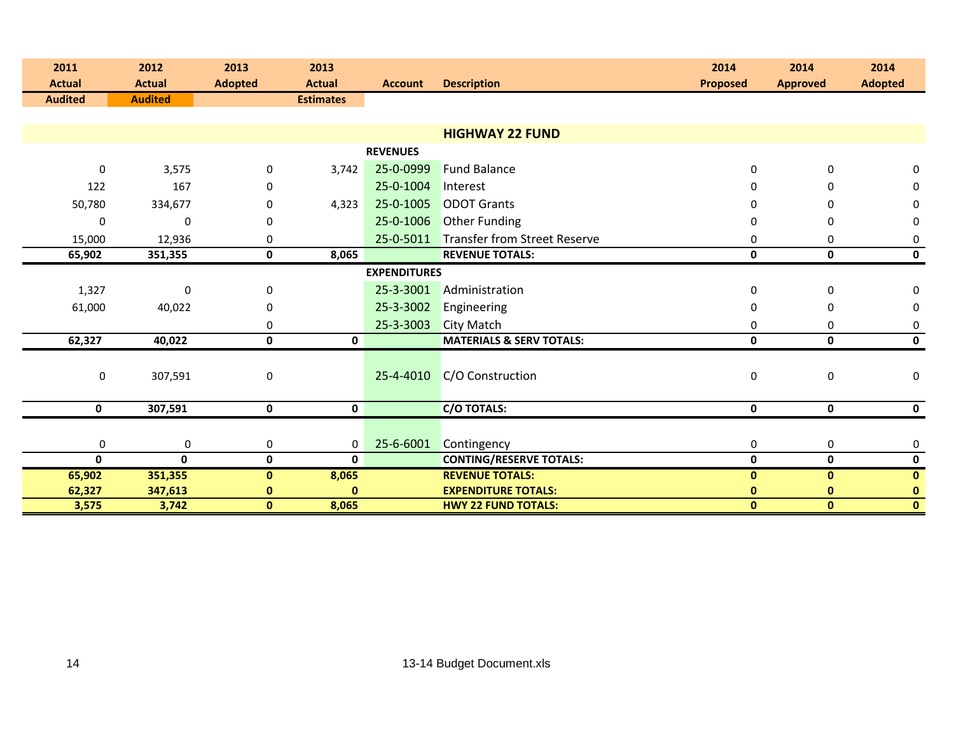| 2011<br><b>Actual</b> | 2012<br><b>Actual</b> | 2013<br><b>Adopted</b> | 2013<br><b>Actual</b> | <b>Account</b>      | <b>Description</b>                  | 2014<br><b>Proposed</b> | 2014<br><b>Approved</b> | 2014<br><b>Adopted</b> |
|-----------------------|-----------------------|------------------------|-----------------------|---------------------|-------------------------------------|-------------------------|-------------------------|------------------------|
| <b>Audited</b>        | <b>Audited</b>        |                        | <b>Estimates</b>      |                     |                                     |                         |                         |                        |
|                       |                       |                        |                       |                     |                                     |                         |                         |                        |
|                       |                       |                        |                       |                     | <b>HIGHWAY 22 FUND</b>              |                         |                         |                        |
|                       |                       |                        |                       | <b>REVENUES</b>     |                                     |                         |                         |                        |
| $\Omega$              | 3,575                 | $\mathbf 0$            | 3,742                 | 25-0-0999           | <b>Fund Balance</b>                 | $\mathbf{0}$            | 0                       | 0                      |
| 122                   | 167                   | 0                      |                       | 25-0-1004           | Interest                            | <sup>0</sup>            | 0                       | 0                      |
| 50,780                | 334,677               | 0                      | 4,323                 | 25-0-1005           | <b>ODOT Grants</b>                  | O                       | U                       | 0                      |
| $\Omega$              | $\Omega$              | 0                      |                       | 25-0-1006           | <b>Other Funding</b>                | 0                       | 0                       | 0                      |
| 15,000                | 12,936                | 0                      |                       | 25-0-5011           | <b>Transfer from Street Reserve</b> | 0                       | 0                       | 0                      |
| 65,902                | 351,355               | $\mathbf 0$            | 8,065                 |                     | <b>REVENUE TOTALS:</b>              | $\mathbf 0$             | $\mathbf 0$             | $\mathbf 0$            |
|                       |                       |                        |                       | <b>EXPENDITURES</b> |                                     |                         |                         |                        |
| 1,327                 | $\Omega$              | $\bf{0}$               |                       | 25-3-3001           | Administration                      | 0                       | 0                       | 0                      |
| 61,000                | 40,022                | 0                      |                       | 25-3-3002           | Engineering                         | 0                       | 0                       | 0                      |
|                       |                       | 0                      |                       | 25-3-3003           | <b>City Match</b>                   | 0                       | 0                       | 0                      |
| 62,327                | 40,022                | $\pmb{0}$              | 0                     |                     | <b>MATERIALS &amp; SERV TOTALS:</b> | 0                       | $\mathbf 0$             | $\mathbf 0$            |
| $\mathbf 0$           | 307,591               | $\bf{0}$               |                       | 25-4-4010           | C/O Construction                    | 0                       | $\mathbf 0$             | 0                      |
| 0                     | 307,591               | 0                      | 0                     |                     | C/O TOTALS:                         | 0                       | 0                       | $\mathbf 0$            |
|                       |                       |                        |                       |                     |                                     |                         |                         |                        |
| 0                     | $\mathbf 0$           | 0                      | 0                     | 25-6-6001           | Contingency                         | $\bf{0}$                | 0                       | 0                      |
| 0                     | $\mathbf{0}$          | $\mathbf 0$            | 0                     |                     | <b>CONTING/RESERVE TOTALS:</b>      | 0                       | $\mathbf 0$             | 0                      |
| 65,902                | 351,355               | $\bf{0}$               | 8,065                 |                     | <b>REVENUE TOTALS:</b>              | $\mathbf{0}$            | $\mathbf{0}$            | $\mathbf 0$            |
| 62,327                | 347,613               | $\bf{0}$               | $\bf{0}$              |                     | <b>EXPENDITURE TOTALS:</b>          | $\bf{0}$                | $\mathbf{0}$            | $\mathbf 0$            |
| 3,575                 | 3,742                 | $\mathbf 0$            | 8,065                 |                     | <b>HWY 22 FUND TOTALS:</b>          | 0                       | $\mathbf{0}$            | $\mathbf{0}$           |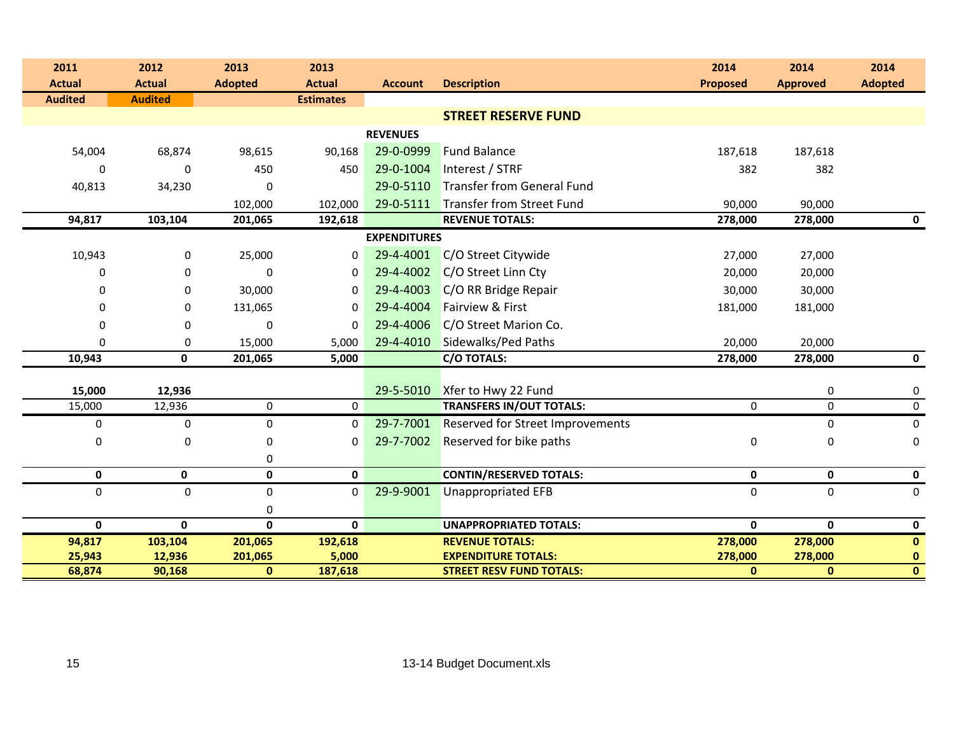| 2011                            | 2012                            | 2013               | 2013                              |                     |                                           | 2014              | 2014              | 2014           |
|---------------------------------|---------------------------------|--------------------|-----------------------------------|---------------------|-------------------------------------------|-------------------|-------------------|----------------|
| <b>Actual</b><br><b>Audited</b> | <b>Actual</b><br><b>Audited</b> | <b>Adopted</b>     | <b>Actual</b><br><b>Estimates</b> | <b>Account</b>      | <b>Description</b>                        | <b>Proposed</b>   | <b>Approved</b>   | <b>Adopted</b> |
|                                 |                                 |                    |                                   |                     | <b>STREET RESERVE FUND</b>                |                   |                   |                |
|                                 |                                 |                    |                                   | <b>REVENUES</b>     |                                           |                   |                   |                |
| 54,004                          | 68,874                          | 98,615             | 90,168                            | 29-0-0999           | <b>Fund Balance</b>                       | 187,618           | 187,618           |                |
| 0                               | 0                               |                    | 450                               | 29-0-1004           | Interest / STRF                           |                   |                   |                |
| 40,813                          | 34,230                          | 450<br>$\mathbf 0$ |                                   | 29-0-5110           | <b>Transfer from General Fund</b>         | 382               | 382               |                |
|                                 |                                 |                    |                                   |                     | Transfer from Street Fund                 |                   |                   |                |
| 94,817                          | 103,104                         | 102,000<br>201,065 | 102,000<br>192,618                | 29-0-5111           | <b>REVENUE TOTALS:</b>                    | 90,000<br>278,000 | 90,000<br>278,000 | $\mathbf 0$    |
|                                 |                                 |                    |                                   | <b>EXPENDITURES</b> |                                           |                   |                   |                |
| 10,943                          | 0                               | 25,000             | 0                                 | 29-4-4001           | C/O Street Citywide                       | 27,000            | 27,000            |                |
| $\Omega$                        | $\mathbf 0$                     | $\mathbf 0$        | $\mathbf 0$                       | 29-4-4002           | C/O Street Linn Cty                       | 20,000            | 20,000            |                |
| 0                               | 0                               | 30,000             | 0                                 | 29-4-4003           | C/O RR Bridge Repair                      | 30,000            | 30,000            |                |
| 0                               |                                 | 131,065            | $\mathbf{0}$                      | 29-4-4004           | Fairview & First                          |                   | 181,000           |                |
|                                 | 0                               |                    |                                   | 29-4-4006           | C/O Street Marion Co.                     | 181,000           |                   |                |
| $\Omega$                        | 0                               | $\mathbf 0$        | $\Omega$                          |                     |                                           |                   |                   |                |
| $\Omega$<br>10,943              | 0<br>$\mathbf{0}$               | 15,000<br>201,065  | 5,000<br>5,000                    | 29-4-4010           | Sidewalks/Ped Paths<br><b>C/O TOTALS:</b> | 20,000<br>278,000 | 20,000<br>278,000 | $\mathbf 0$    |
|                                 |                                 |                    |                                   |                     |                                           |                   |                   |                |
| 15,000                          | 12,936                          |                    |                                   | 29-5-5010           | Xfer to Hwy 22 Fund                       |                   | 0                 | 0              |
| 15,000                          | 12,936                          | $\pmb{0}$          | $\mathbf 0$                       |                     | <b>TRANSFERS IN/OUT TOTALS:</b>           | 0                 | $\mathbf 0$       | $\overline{0}$ |
| $\pmb{0}$                       | 0                               | $\boldsymbol{0}$   | 0                                 | 29-7-7001           | <b>Reserved for Street Improvements</b>   |                   | 0                 | 0              |
| $\pmb{0}$                       | $\pmb{0}$                       | $\boldsymbol{0}$   | 0                                 | 29-7-7002           | Reserved for bike paths                   | $\pmb{0}$         | 0                 | 0              |
|                                 |                                 | 0                  |                                   |                     |                                           |                   |                   |                |
| $\mathbf 0$                     | $\mathbf 0$                     | $\mathbf 0$        | $\mathbf 0$                       |                     | <b>CONTIN/RESERVED TOTALS:</b>            | $\mathbf 0$       | $\mathbf 0$       | $\mathbf 0$    |
| $\mathbf 0$                     | $\mathbf 0$                     | $\mathbf 0$        | $\mathbf 0$                       | 29-9-9001           | <b>Unappropriated EFB</b>                 | $\mathbf 0$       | $\Omega$          | $\mathbf 0$    |
|                                 |                                 | $\boldsymbol{0}$   |                                   |                     |                                           |                   |                   |                |
| $\mathbf 0$                     | $\mathbf{0}$                    | $\mathbf 0$        | $\mathbf 0$                       |                     | <b>UNAPPROPRIATED TOTALS:</b>             | $\mathbf{0}$      | $\mathbf{0}$      | $\mathbf 0$    |
| 94,817                          | 103,104                         | 201,065            | 192,618                           |                     | <b>REVENUE TOTALS:</b>                    | 278,000           | 278,000           | $\mathbf 0$    |
| 25,943                          | 12,936                          | 201,065            | 5,000                             |                     | <b>EXPENDITURE TOTALS:</b>                | 278,000           | 278,000           | $\mathbf 0$    |
| 68,874                          | 90,168                          | $\bf{0}$           | 187,618                           |                     | <b>STREET RESV FUND TOTALS:</b>           | $\mathbf{0}$      | $\mathbf{0}$      | $\mathbf{0}$   |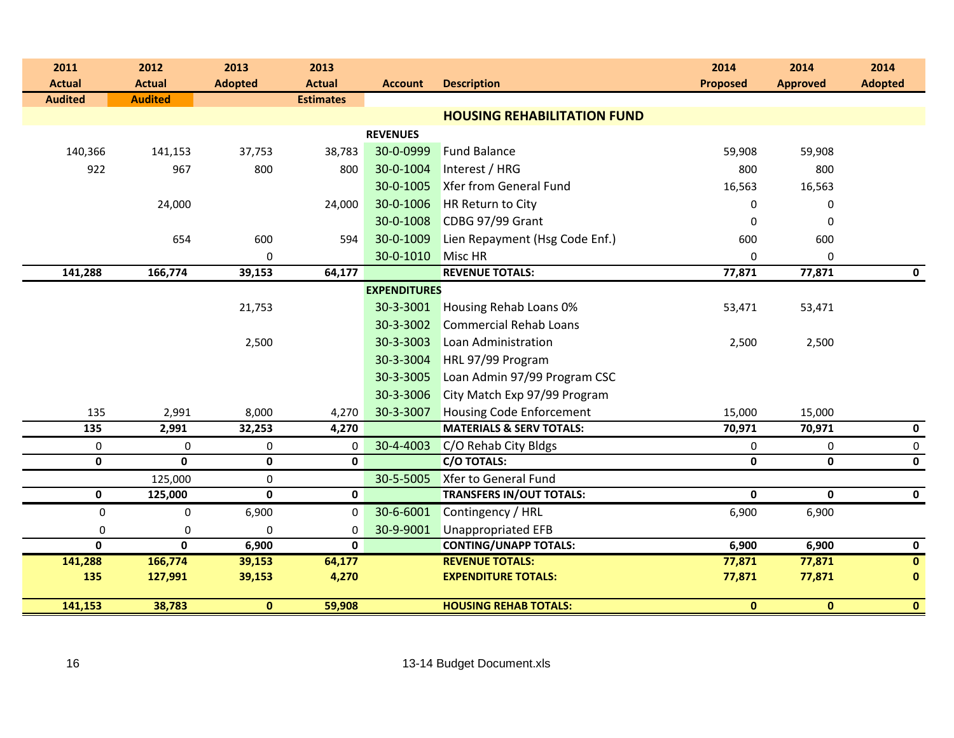| 2013<br>2011<br>2012                             | 2013                         |                     |                                     | 2014            | 2014            | 2014           |
|--------------------------------------------------|------------------------------|---------------------|-------------------------------------|-----------------|-----------------|----------------|
| <b>Actual</b><br><b>Actual</b><br><b>Adopted</b> | <b>Actual</b>                | <b>Account</b>      | <b>Description</b>                  | <b>Proposed</b> | <b>Approved</b> | <b>Adopted</b> |
| <b>Audited</b><br><b>Audited</b>                 | <b>Estimates</b>             |                     |                                     |                 |                 |                |
|                                                  |                              |                     | <b>HOUSING REHABILITATION FUND</b>  |                 |                 |                |
|                                                  |                              | <b>REVENUES</b>     |                                     |                 |                 |                |
| 140,366<br>141,153                               | 37,753<br>38,783             | 30-0-0999           | <b>Fund Balance</b>                 | 59,908          | 59,908          |                |
| 922<br>967                                       | 800<br>800                   | 30-0-1004           | Interest / HRG                      | 800             | 800             |                |
|                                                  |                              | 30-0-1005           | <b>Xfer from General Fund</b>       | 16,563          | 16,563          |                |
| 24,000                                           | 24,000                       | 30-0-1006           | <b>HR Return to City</b>            | $\Omega$        | 0               |                |
|                                                  |                              | 30-0-1008           | CDBG 97/99 Grant                    | 0               | 0               |                |
| 654                                              | 600<br>594                   | 30-0-1009           | Lien Repayment (Hsg Code Enf.)      | 600             | 600             |                |
|                                                  | 0                            | 30-0-1010           | Misc HR                             | $\mathbf 0$     | 0               |                |
| 141,288<br>166,774                               | 39,153<br>64,177             |                     | <b>REVENUE TOTALS:</b>              | 77,871          | 77,871          | $\mathbf 0$    |
|                                                  |                              | <b>EXPENDITURES</b> |                                     |                 |                 |                |
|                                                  | 21,753                       | 30-3-3001           | Housing Rehab Loans 0%              | 53,471          | 53,471          |                |
|                                                  |                              | 30-3-3002           | <b>Commercial Rehab Loans</b>       |                 |                 |                |
|                                                  | 2,500                        | 30-3-3003           | Loan Administration                 | 2,500           | 2,500           |                |
|                                                  |                              | 30-3-3004           | HRL 97/99 Program                   |                 |                 |                |
|                                                  |                              | 30-3-3005           | Loan Admin 97/99 Program CSC        |                 |                 |                |
|                                                  |                              | 30-3-3006           | City Match Exp 97/99 Program        |                 |                 |                |
| 135<br>2,991                                     | 8,000<br>4,270               | 30-3-3007           | <b>Housing Code Enforcement</b>     | 15,000          | 15,000          |                |
| 135<br>2,991                                     | 32,253<br>4,270              |                     | <b>MATERIALS &amp; SERV TOTALS:</b> | 70,971          | 70,971          | $\mathbf 0$    |
| 0<br>0                                           | 0<br>0                       | 30-4-4003           | C/O Rehab City Bldgs                | $\mathbf 0$     | 0               | 0              |
| $\overline{\mathbf{0}}$<br>$\mathbf 0$           | $\mathbf 0$<br>0             |                     | <b>C/O TOTALS:</b>                  | $\mathbf 0$     | $\mathbf 0$     | $\mathbf 0$    |
| 125,000                                          | 0                            | 30-5-5005           | <b>Xfer to General Fund</b>         |                 |                 |                |
| $\mathbf 0$<br>125,000                           | $\mathbf{0}$<br>$\mathbf{0}$ |                     | <b>TRANSFERS IN/OUT TOTALS:</b>     | $\mathbf{0}$    | 0               | $\mathbf 0$    |
| $\pmb{0}$<br>$\mathbf 0$                         | 6,900<br>$\mathbf 0$         | 30-6-6001           | Contingency / HRL                   | 6,900           | 6,900           |                |
| 0<br>$\Omega$                                    | 0<br>0                       | 30-9-9001           | <b>Unappropriated EFB</b>           |                 |                 |                |
| $\mathbf{0}$<br>$\mathbf{0}$                     | 6,900<br>$\mathbf{0}$        |                     | <b>CONTING/UNAPP TOTALS:</b>        | 6,900           | 6,900           | $\mathbf 0$    |
| 141,288<br>166,774                               | 39,153<br>64,177             |                     | <b>REVENUE TOTALS:</b>              | 77,871          | 77,871          | $\mathbf{0}$   |
| 135<br>127,991                                   | 39,153<br>4,270              |                     | <b>EXPENDITURE TOTALS:</b>          | 77,871          | 77,871          | $\mathbf 0$    |
| 141,153<br>38,783                                | $\mathbf{0}$<br>59,908       |                     | <b>HOUSING REHAB TOTALS:</b>        | $\mathbf{0}$    | $\mathbf{0}$    | $\mathbf{0}$   |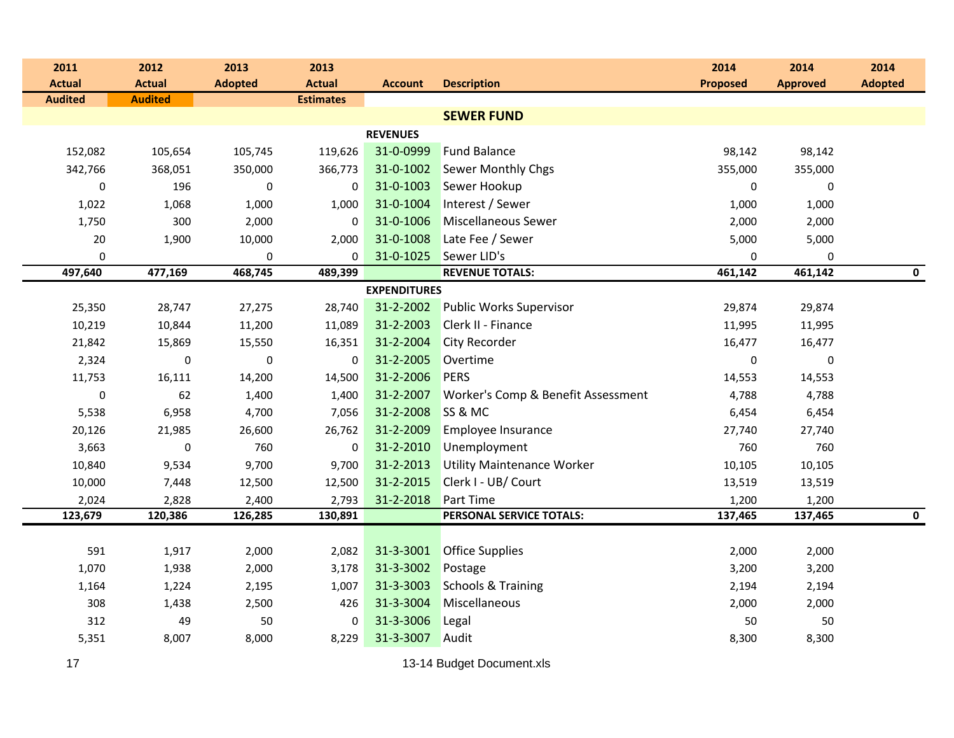| 2011             | 2012           | 2013           | 2013             |                     |                                    | 2014             | 2014            | 2014           |
|------------------|----------------|----------------|------------------|---------------------|------------------------------------|------------------|-----------------|----------------|
| <b>Actual</b>    | <b>Actual</b>  | <b>Adopted</b> | <b>Actual</b>    | <b>Account</b>      | <b>Description</b>                 | <b>Proposed</b>  | <b>Approved</b> | <b>Adopted</b> |
| <b>Audited</b>   | <b>Audited</b> |                | <b>Estimates</b> |                     |                                    |                  |                 |                |
|                  |                |                |                  |                     | <b>SEWER FUND</b>                  |                  |                 |                |
|                  |                |                |                  | <b>REVENUES</b>     |                                    |                  |                 |                |
| 152,082          | 105,654        | 105,745        | 119,626          | 31-0-0999           | <b>Fund Balance</b>                | 98,142           | 98,142          |                |
| 342,766          | 368,051        | 350,000        | 366,773          | 31-0-1002           | <b>Sewer Monthly Chgs</b>          | 355,000          | 355,000         |                |
| $\boldsymbol{0}$ | 196            | $\pmb{0}$      | 0                | 31-0-1003           | Sewer Hookup                       | $\boldsymbol{0}$ | 0               |                |
| 1,022            | 1,068          | 1,000          | 1,000            | 31-0-1004           | Interest / Sewer                   | 1,000            | 1,000           |                |
| 1,750            | 300            | 2,000          | $\bf{0}$         | 31-0-1006           | <b>Miscellaneous Sewer</b>         | 2,000            | 2,000           |                |
| 20               | 1,900          | 10,000         | 2,000            | 31-0-1008           | Late Fee / Sewer                   | 5,000            | 5,000           |                |
| 0                |                | 0              | 0                | 31-0-1025           | Sewer LID's                        | 0                | 0               |                |
| 497,640          | 477,169        | 468,745        | 489,399          |                     | <b>REVENUE TOTALS:</b>             | 461,142          | 461,142         | $\mathbf 0$    |
|                  |                |                |                  | <b>EXPENDITURES</b> |                                    |                  |                 |                |
| 25,350           | 28,747         | 27,275         | 28,740           | 31-2-2002           | <b>Public Works Supervisor</b>     | 29,874           | 29,874          |                |
| 10,219           | 10,844         | 11,200         | 11,089           | 31-2-2003           | Clerk II - Finance                 | 11,995           | 11,995          |                |
| 21,842           | 15,869         | 15,550         | 16,351           | 31-2-2004           | <b>City Recorder</b>               | 16,477           | 16,477          |                |
| 2,324            | $\pmb{0}$      | $\pmb{0}$      | $\bf{0}$         | 31-2-2005           | Overtime                           | $\pmb{0}$        | 0               |                |
| 11,753           | 16,111         | 14,200         | 14,500           | 31-2-2006           | <b>PERS</b>                        | 14,553           | 14,553          |                |
| $\boldsymbol{0}$ | 62             | 1,400          | 1,400            | 31-2-2007           | Worker's Comp & Benefit Assessment | 4,788            | 4,788           |                |
| 5,538            | 6,958          | 4,700          | 7,056            | 31-2-2008           | SS & MC                            | 6,454            | 6,454           |                |
| 20,126           | 21,985         | 26,600         | 26,762           | 31-2-2009           | Employee Insurance                 | 27,740           | 27,740          |                |
| 3,663            | 0              | 760            | $\bf{0}$         | 31-2-2010           | Unemployment                       | 760              | 760             |                |
| 10,840           | 9,534          | 9,700          | 9,700            | 31-2-2013           | <b>Utility Maintenance Worker</b>  | 10,105           | 10,105          |                |
| 10,000           | 7,448          | 12,500         | 12,500           | 31-2-2015           | Clerk I - UB/ Court                | 13,519           | 13,519          |                |
| 2,024            | 2,828          | 2,400          | 2,793            | 31-2-2018           | Part Time                          | 1,200            | 1,200           |                |
| 123,679          | 120,386        | 126,285        | 130,891          |                     | PERSONAL SERVICE TOTALS:           | 137,465          | 137,465         | $\mathbf 0$    |
|                  |                |                |                  |                     |                                    |                  |                 |                |
| 591              | 1,917          | 2,000          | 2,082            | 31-3-3001           | <b>Office Supplies</b>             | 2,000            | 2,000           |                |
| 1,070            | 1,938          | 2,000          | 3,178            | 31-3-3002           | Postage                            | 3,200            | 3,200           |                |
| 1,164            | 1,224          | 2,195          | 1,007            | 31-3-3003           | <b>Schools &amp; Training</b>      | 2,194            | 2,194           |                |
| 308              | 1,438          | 2,500          | 426              | 31-3-3004           | Miscellaneous                      | 2,000            | 2,000           |                |
| 312              | 49             | 50             | 0                | 31-3-3006           | Legal                              | 50               | 50              |                |
| 5,351            | 8,007          | 8,000          | 8,229            | 31-3-3007           | Audit                              | 8,300            | 8,300           |                |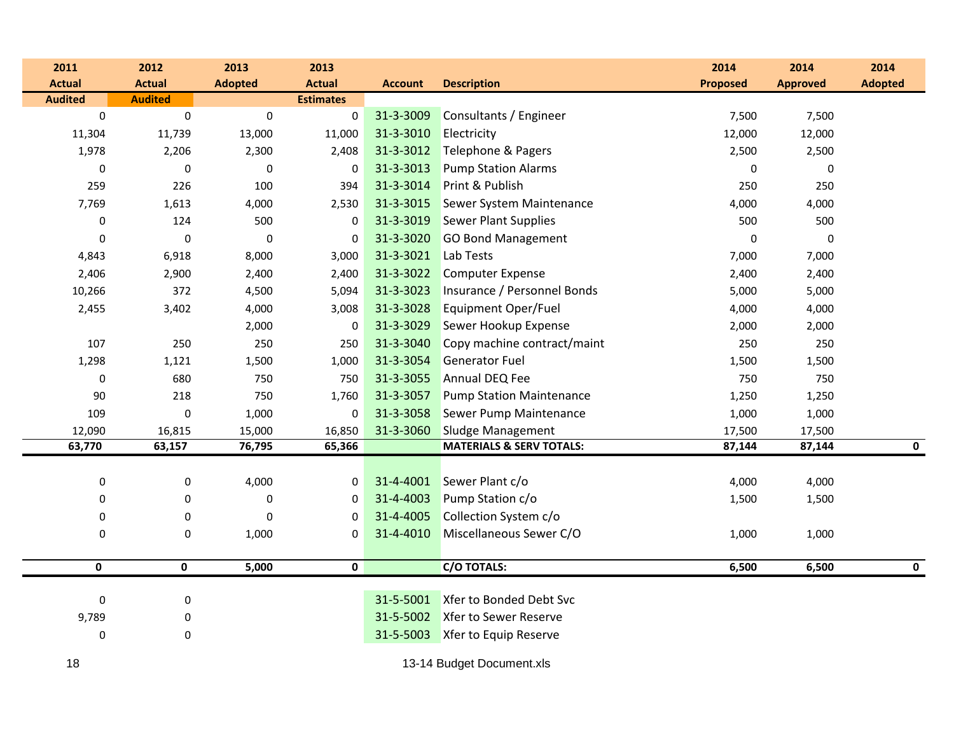| 2011             | 2012           | 2013           | 2013             |                |                                     | 2014            | 2014            | 2014           |
|------------------|----------------|----------------|------------------|----------------|-------------------------------------|-----------------|-----------------|----------------|
| <b>Actual</b>    | <b>Actual</b>  | <b>Adopted</b> | <b>Actual</b>    | <b>Account</b> | <b>Description</b>                  | <b>Proposed</b> | <b>Approved</b> | <b>Adopted</b> |
| <b>Audited</b>   | <b>Audited</b> |                | <b>Estimates</b> |                |                                     |                 |                 |                |
| $\mathbf 0$      | $\mathbf 0$    | $\pmb{0}$      | $\pmb{0}$        | 31-3-3009      | Consultants / Engineer              | 7,500           | 7,500           |                |
| 11,304           | 11,739         | 13,000         | 11,000           | 31-3-3010      | Electricity                         | 12,000          | 12,000          |                |
| 1,978            | 2,206          | 2,300          | 2,408            | 31-3-3012      | Telephone & Pagers                  | 2,500           | 2,500           |                |
| $\mathbf 0$      | $\pmb{0}$      | $\pmb{0}$      | 0                | 31-3-3013      | <b>Pump Station Alarms</b>          | $\pmb{0}$       | 0               |                |
| 259              | 226            | 100            | 394              | 31-3-3014      | Print & Publish                     | 250             | 250             |                |
| 7,769            | 1,613          | 4,000          | 2,530            | 31-3-3015      | Sewer System Maintenance            | 4,000           | 4,000           |                |
| $\boldsymbol{0}$ | 124            | 500            | $\boldsymbol{0}$ | 31-3-3019      | <b>Sewer Plant Supplies</b>         | 500             | 500             |                |
| $\pmb{0}$        | $\pmb{0}$      | $\pmb{0}$      | $\bf{0}$         | 31-3-3020      | <b>GO Bond Management</b>           | $\pmb{0}$       | $\pmb{0}$       |                |
| 4,843            | 6,918          | 8,000          | 3,000            | 31-3-3021      | Lab Tests                           | 7,000           | 7,000           |                |
| 2,406            | 2,900          | 2,400          | 2,400            | 31-3-3022      | <b>Computer Expense</b>             | 2,400           | 2,400           |                |
| 10,266           | 372            | 4,500          | 5,094            | 31-3-3023      | Insurance / Personnel Bonds         | 5,000           | 5,000           |                |
| 2,455            | 3,402          | 4,000          | 3,008            | 31-3-3028      | Equipment Oper/Fuel                 | 4,000           | 4,000           |                |
|                  |                | 2,000          | 0                | 31-3-3029      | Sewer Hookup Expense                | 2,000           | 2,000           |                |
| 107              | 250            | 250            | 250              | 31-3-3040      | Copy machine contract/maint         | 250             | 250             |                |
| 1,298            | 1,121          | 1,500          | 1,000            | 31-3-3054      | <b>Generator Fuel</b>               | 1,500           | 1,500           |                |
| $\mathbf 0$      | 680            | 750            | 750              | 31-3-3055      | <b>Annual DEQ Fee</b>               | 750             | 750             |                |
| 90               | 218            | 750            | 1,760            | 31-3-3057      | <b>Pump Station Maintenance</b>     | 1,250           | 1,250           |                |
| 109              | $\pmb{0}$      | 1,000          | $\Omega$         | 31-3-3058      | <b>Sewer Pump Maintenance</b>       | 1,000           | 1,000           |                |
| 12,090           | 16,815         | 15,000         | 16,850           | 31-3-3060      | <b>Sludge Management</b>            | 17,500          | 17,500          |                |
| 63,770           | 63,157         | 76,795         | 65,366           |                | <b>MATERIALS &amp; SERV TOTALS:</b> | 87,144          | 87,144          | $\mathbf 0$    |
|                  |                |                |                  |                |                                     |                 |                 |                |
| $\pmb{0}$        | 0              | 4,000          | $\pmb{0}$        | 31-4-4001      | Sewer Plant c/o                     | 4,000           | 4,000           |                |
| $\boldsymbol{0}$ | $\pmb{0}$      | $\pmb{0}$      | 0                | 31-4-4003      | Pump Station c/o                    | 1,500           | 1,500           |                |
| $\boldsymbol{0}$ | $\pmb{0}$      | $\mathbf 0$    | 0                | 31-4-4005      | Collection System c/o               |                 |                 |                |
| 0                | $\pmb{0}$      | 1,000          | 0                | 31-4-4010      | Miscellaneous Sewer C/O             | 1,000           | 1,000           |                |
|                  |                |                |                  |                |                                     |                 |                 |                |
| $\mathbf 0$      | $\mathbf{0}$   | 5,000          | $\mathbf 0$      |                | C/O TOTALS:                         | 6,500           | 6,500           | $\mathbf 0$    |
| $\pmb{0}$        | 0              |                |                  | 31-5-5001      | Xfer to Bonded Debt Svc             |                 |                 |                |
| 9,789            | 0              |                |                  | 31-5-5002      | Xfer to Sewer Reserve               |                 |                 |                |
| $\mathbf 0$      | 0              |                |                  | 31-5-5003      | Xfer to Equip Reserve               |                 |                 |                |
|                  |                |                |                  |                |                                     |                 |                 |                |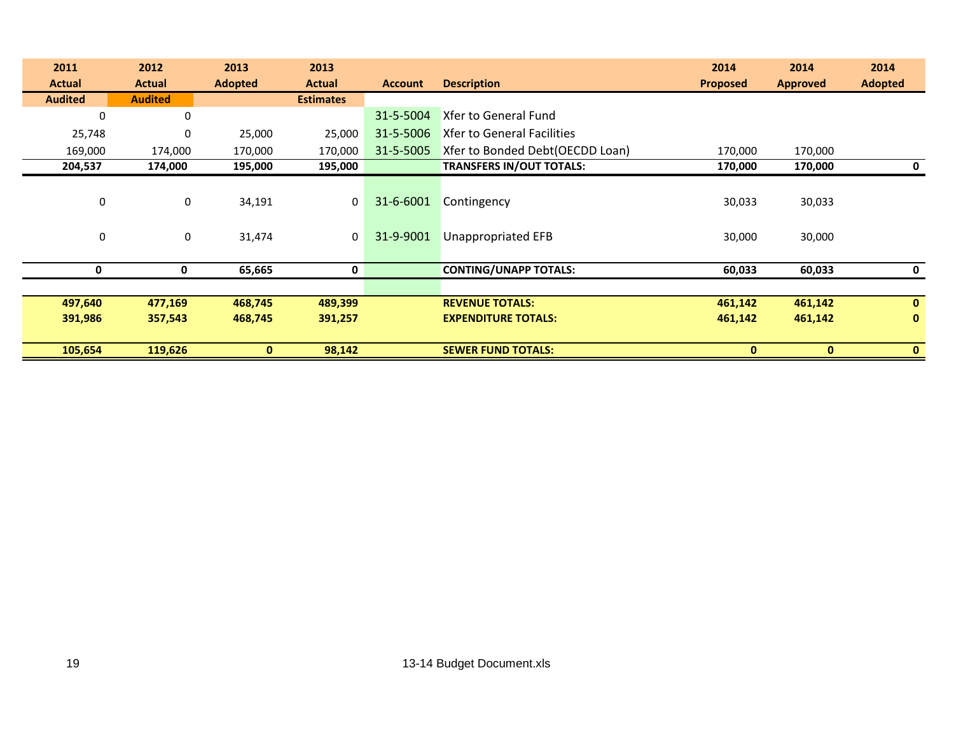| 2011           | 2012           | 2013           | 2013             |                |                                   | 2014            | 2014            | 2014           |
|----------------|----------------|----------------|------------------|----------------|-----------------------------------|-----------------|-----------------|----------------|
| <b>Actual</b>  | <b>Actual</b>  | <b>Adopted</b> | <b>Actual</b>    | <b>Account</b> | <b>Description</b>                | <b>Proposed</b> | <b>Approved</b> | <b>Adopted</b> |
| <b>Audited</b> | <b>Audited</b> |                | <b>Estimates</b> |                |                                   |                 |                 |                |
| 0              | 0              |                |                  | 31-5-5004      | <b>Xfer to General Fund</b>       |                 |                 |                |
| 25,748         | $\mathbf 0$    | 25,000         | 25,000           | 31-5-5006      | <b>Xfer to General Facilities</b> |                 |                 |                |
| 169,000        | 174,000        | 170,000        | 170,000          | 31-5-5005      | Xfer to Bonded Debt(OECDD Loan)   | 170,000         | 170,000         |                |
| 204,537        | 174,000        | 195,000        | 195,000          |                | <b>TRANSFERS IN/OUT TOTALS:</b>   | 170,000         | 170,000         | 0              |
|                |                |                |                  |                |                                   |                 |                 |                |
| 0              | $\mathbf 0$    | 34,191         | 0                | 31-6-6001      | Contingency                       | 30,033          | 30,033          |                |
|                |                |                |                  |                |                                   |                 |                 |                |
| 0              | $\mathbf 0$    | 31,474         | $\mathbf 0$      | 31-9-9001      | <b>Unappropriated EFB</b>         | 30,000          | 30,000          |                |
|                |                |                |                  |                |                                   |                 |                 |                |
| 0              | 0              | 65,665         | $\mathbf 0$      |                | <b>CONTING/UNAPP TOTALS:</b>      | 60,033          | 60,033          | 0              |
|                |                |                |                  |                |                                   |                 |                 |                |
| 497,640        | 477,169        | 468,745        | 489,399          |                | <b>REVENUE TOTALS:</b>            | 461,142         | 461,142         | $\mathbf{0}$   |
| 391,986        | 357,543        | 468,745        | 391,257          |                | <b>EXPENDITURE TOTALS:</b>        | 461,142         | 461,142         | $\mathbf{0}$   |
|                |                |                |                  |                |                                   |                 |                 |                |
| 105,654        | 119,626        | $\bf{0}$       | 98,142           |                | <b>SEWER FUND TOTALS:</b>         | $\bf{0}$        | $\mathbf{0}$    | $\bf{0}$       |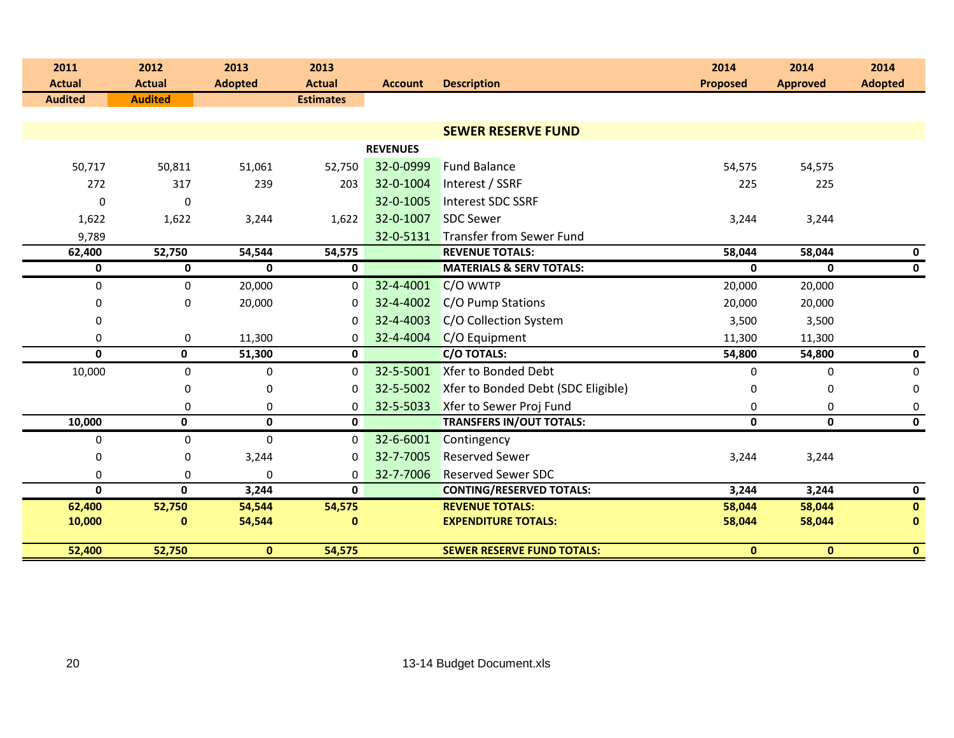| 2011<br><b>Actual</b> | 2012<br><b>Actual</b> | 2013<br><b>Adopted</b> | 2013<br><b>Actual</b> | <b>Account</b>  | <b>Description</b>                  | 2014<br><b>Proposed</b> | 2014<br><b>Approved</b> | 2014<br><b>Adopted</b> |
|-----------------------|-----------------------|------------------------|-----------------------|-----------------|-------------------------------------|-------------------------|-------------------------|------------------------|
| <b>Audited</b>        | <b>Audited</b>        |                        | <b>Estimates</b>      |                 |                                     |                         |                         |                        |
|                       |                       |                        |                       |                 |                                     |                         |                         |                        |
|                       |                       |                        |                       |                 | <b>SEWER RESERVE FUND</b>           |                         |                         |                        |
|                       |                       |                        |                       | <b>REVENUES</b> |                                     |                         |                         |                        |
| 50,717                | 50,811                | 51,061                 | 52,750                | 32-0-0999       | <b>Fund Balance</b>                 | 54,575                  | 54,575                  |                        |
| 272                   | 317                   | 239                    | 203                   | 32-0-1004       | Interest / SSRF                     | 225                     | 225                     |                        |
| $\mathbf 0$           | $\mathbf 0$           |                        |                       | 32-0-1005       | Interest SDC SSRF                   |                         |                         |                        |
| 1,622                 | 1,622                 | 3,244                  | 1,622                 | 32-0-1007       | <b>SDC Sewer</b>                    | 3,244                   | 3,244                   |                        |
| 9,789                 |                       |                        |                       | 32-0-5131       | Transfer from Sewer Fund            |                         |                         |                        |
| 62,400                | 52,750                | 54,544                 | 54,575                |                 | <b>REVENUE TOTALS:</b>              | 58,044                  | 58,044                  | $\mathbf 0$            |
| 0                     | $\mathbf 0$           | $\mathbf{0}$           | $\mathbf 0$           |                 | <b>MATERIALS &amp; SERV TOTALS:</b> | $\mathbf{0}$            | $\mathbf{0}$            | $\mathbf 0$            |
| 0                     | $\mathbf 0$           | 20,000                 | $\mathbf 0$           | 32-4-4001       | C/O WWTP                            | 20,000                  | 20,000                  |                        |
| 0                     | 0                     | 20,000                 | 0                     | 32-4-4002       | C/O Pump Stations                   | 20,000                  | 20,000                  |                        |
| 0                     |                       |                        | 0                     | 32-4-4003       | C/O Collection System               | 3,500                   | 3,500                   |                        |
| 0                     | 0                     | 11,300                 | $\Omega$              | 32-4-4004       | C/O Equipment                       | 11,300                  | 11,300                  |                        |
| $\mathbf{0}$          | 0                     | 51,300                 | $\mathbf 0$           |                 | <b>C/O TOTALS:</b>                  | 54,800                  | 54,800                  | $\mathbf 0$            |
| 10,000                | $\mathbf 0$           | $\pmb{0}$              | $\mathbf 0$           | 32-5-5001       | Xfer to Bonded Debt                 | $\mathbf 0$             | $\mathbf 0$             | $\mathbf 0$            |
|                       | 0                     | 0                      | 0                     | 32-5-5002       | Xfer to Bonded Debt (SDC Eligible)  | 0                       | $\mathbf{0}$            | 0                      |
|                       | $\boldsymbol{0}$      | $\pmb{0}$              | 0                     | 32-5-5033       | Xfer to Sewer Proj Fund             | 0                       | $\mathbf 0$             | $\pmb{0}$              |
| 10,000                | 0                     | $\mathbf 0$            | $\mathbf{0}$          |                 | <b>TRANSFERS IN/OUT TOTALS:</b>     | $\mathbf 0$             | $\mathbf{0}$            | $\mathbf 0$            |
| $\pmb{0}$             | $\mathbf 0$           | 0                      | $\mathbf 0$           | 32-6-6001       | Contingency                         |                         |                         |                        |
| 0                     | 0                     | 3,244                  | 0                     | 32-7-7005       | <b>Reserved Sewer</b>               | 3,244                   | 3,244                   |                        |
| 0                     | 0                     | $\mathbf 0$            | 0                     | 32-7-7006       | <b>Reserved Sewer SDC</b>           |                         |                         |                        |
| $\mathbf{0}$          | 0                     | 3,244                  | $\mathbf{0}$          |                 | <b>CONTING/RESERVED TOTALS:</b>     | 3,244                   | 3,244                   | $\mathbf 0$            |
| 62,400                | 52,750                | 54,544                 | 54,575                |                 | <b>REVENUE TOTALS:</b>              | 58,044                  | 58,044                  | $\mathbf{0}$           |
| 10,000                | $\bf{0}$              | 54,544                 | $\mathbf{0}$          |                 | <b>EXPENDITURE TOTALS:</b>          | 58,044                  | 58,044                  | $\mathbf{0}$           |
| 52,400                | 52,750                | $\mathbf{0}$           | 54,575                |                 | <b>SEWER RESERVE FUND TOTALS:</b>   | $\mathbf{0}$            | $\mathbf{0}$            | $\mathbf{0}$           |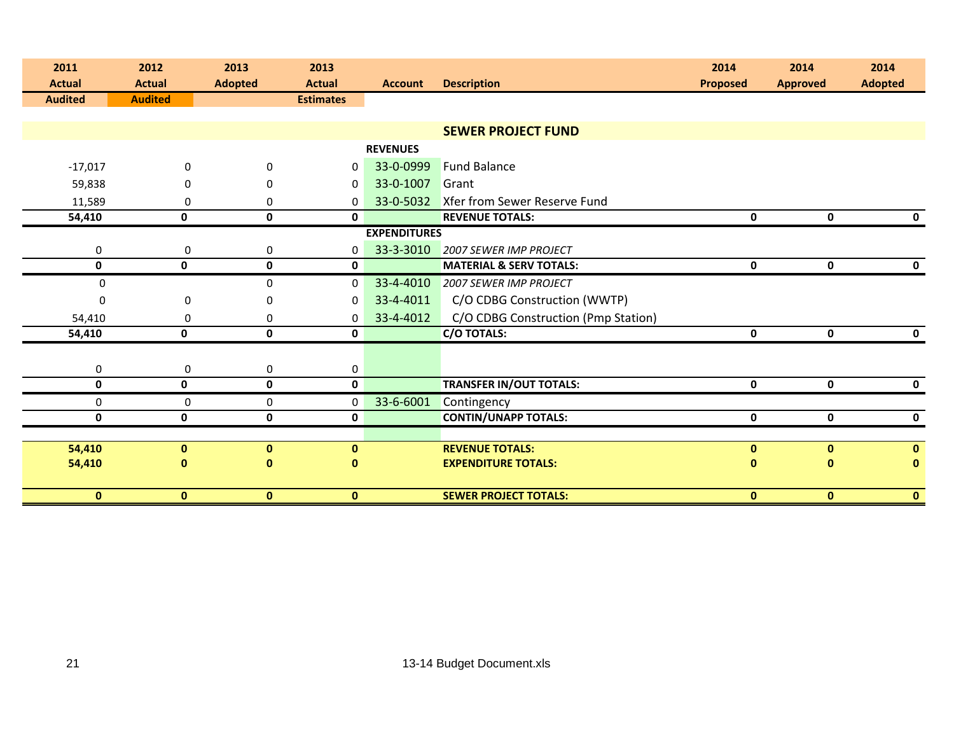| 2011<br><b>Actual</b> | 2012<br><b>Actual</b> | 2013<br><b>Adopted</b> | 2013<br><b>Actual</b> | <b>Account</b>      | <b>Description</b>                  | 2014<br><b>Proposed</b> | 2014<br><b>Approved</b> | 2014<br><b>Adopted</b> |
|-----------------------|-----------------------|------------------------|-----------------------|---------------------|-------------------------------------|-------------------------|-------------------------|------------------------|
| <b>Audited</b>        | <b>Audited</b>        |                        | <b>Estimates</b>      |                     |                                     |                         |                         |                        |
|                       |                       |                        |                       |                     |                                     |                         |                         |                        |
|                       |                       |                        |                       |                     | <b>SEWER PROJECT FUND</b>           |                         |                         |                        |
|                       |                       |                        |                       | <b>REVENUES</b>     |                                     |                         |                         |                        |
| $-17,017$             | $\Omega$              | $\Omega$               | $\Omega$              | 33-0-0999           | <b>Fund Balance</b>                 |                         |                         |                        |
| 59,838                | $\Omega$              | $\Omega$               | 0                     | 33-0-1007           | Grant                               |                         |                         |                        |
| 11,589                | 0                     | 0                      | 0                     | 33-0-5032           | Xfer from Sewer Reserve Fund        |                         |                         |                        |
| 54,410                | $\mathbf 0$           | $\mathbf 0$            | $\mathbf{0}$          |                     | <b>REVENUE TOTALS:</b>              | $\mathbf 0$             | $\mathbf 0$             | $\mathbf 0$            |
|                       |                       |                        |                       | <b>EXPENDITURES</b> |                                     |                         |                         |                        |
| $\pmb{0}$             | $\mathbf 0$           | $\pmb{0}$              | 0                     | 33-3-3010           | <b>2007 SEWER IMP PROJECT</b>       |                         |                         |                        |
| $\mathbf 0$           | $\mathbf{0}$          | $\mathbf{0}$           | $\mathbf{0}$          |                     | <b>MATERIAL &amp; SERV TOTALS:</b>  | 0                       | $\mathbf{0}$            | $\mathbf 0$            |
| 0                     |                       | $\mathbf 0$            | $\mathbf{0}$          | 33-4-4010           | <b>2007 SEWER IMP PROJECT</b>       |                         |                         |                        |
| $\mathbf{0}$          | $\mathbf 0$           | $\mathbf{0}$           | $\mathbf{0}$          | 33-4-4011           | C/O CDBG Construction (WWTP)        |                         |                         |                        |
| 54,410                | $\Omega$              | 0                      | 0                     | 33-4-4012           | C/O CDBG Construction (Pmp Station) |                         |                         |                        |
| 54,410                | $\mathbf 0$           | $\mathbf 0$            | $\mathbf 0$           |                     | <b>C/O TOTALS:</b>                  | $\mathbf 0$             | $\mathbf 0$             | $\mathbf 0$            |
|                       |                       |                        |                       |                     |                                     |                         |                         |                        |
| 0                     | 0                     | 0                      | 0                     |                     |                                     |                         |                         |                        |
| $\mathbf 0$           | $\mathbf 0$           | $\mathbf{0}$           | 0                     |                     | <b>TRANSFER IN/OUT TOTALS:</b>      | 0                       | $\mathbf 0$             | $\mathbf 0$            |
| 0                     | $\mathbf 0$           | 0                      | 0                     | 33-6-6001           | Contingency                         |                         |                         |                        |
| $\mathbf 0$           | 0                     | $\mathbf 0$            | 0                     |                     | <b>CONTIN/UNAPP TOTALS:</b>         | 0                       | 0                       | $\mathbf 0$            |
|                       |                       |                        |                       |                     |                                     |                         |                         |                        |
| 54,410                | $\mathbf{0}$          | $\mathbf{0}$           | $\bf{0}$              |                     | <b>REVENUE TOTALS:</b>              | $\mathbf{0}$            | $\mathbf{0}$            | $\mathbf{0}$           |
| 54,410                | $\mathbf{0}$          | $\bf{0}$               | 0                     |                     | <b>EXPENDITURE TOTALS:</b>          | $\mathbf{0}$            | $\mathbf{0}$            | $\mathbf{0}$           |
|                       |                       |                        |                       |                     |                                     |                         |                         |                        |
| $\mathbf{0}$          | $\mathbf{0}$          | $\mathbf{0}$           | $\mathbf{0}$          |                     | <b>SEWER PROJECT TOTALS:</b>        | $\mathbf{0}$            | $\mathbf{0}$            | $\bullet$              |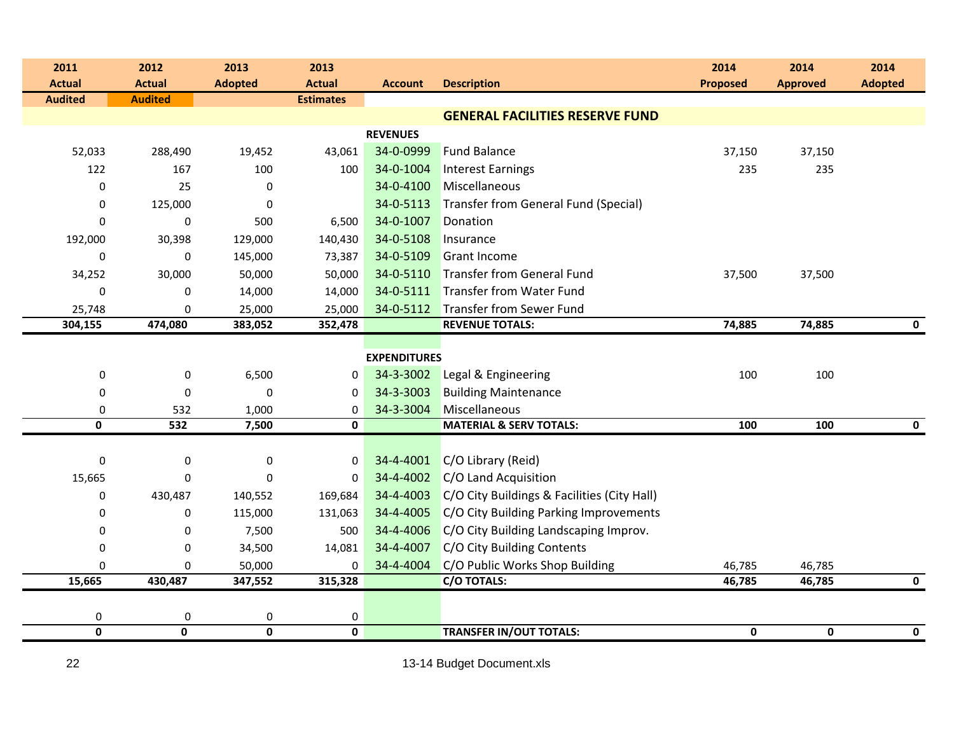| 2011             | 2012             | 2013             | 2013             |                     |                                             | 2014            | 2014            | 2014           |
|------------------|------------------|------------------|------------------|---------------------|---------------------------------------------|-----------------|-----------------|----------------|
| <b>Actual</b>    | <b>Actual</b>    | <b>Adopted</b>   | <b>Actual</b>    | <b>Account</b>      | <b>Description</b>                          | <b>Proposed</b> | <b>Approved</b> | <b>Adopted</b> |
| <b>Audited</b>   | <b>Audited</b>   |                  | <b>Estimates</b> |                     |                                             |                 |                 |                |
|                  |                  |                  |                  |                     | <b>GENERAL FACILITIES RESERVE FUND</b>      |                 |                 |                |
|                  |                  |                  |                  | <b>REVENUES</b>     |                                             |                 |                 |                |
| 52,033           | 288,490          | 19,452           | 43,061           | 34-0-0999           | <b>Fund Balance</b>                         | 37,150          | 37,150          |                |
| 122              | 167              | 100              | 100              | 34-0-1004           | <b>Interest Earnings</b>                    | 235             | 235             |                |
| 0                | 25               | 0                |                  | 34-0-4100           | Miscellaneous                               |                 |                 |                |
| 0                | 125,000          | 0                |                  | 34-0-5113           | Transfer from General Fund (Special)        |                 |                 |                |
| $\mathbf 0$      | 0                | 500              | 6,500            | 34-0-1007           | Donation                                    |                 |                 |                |
| 192,000          | 30,398           | 129,000          | 140,430          | 34-0-5108           | Insurance                                   |                 |                 |                |
| $\mathbf 0$      | $\mathbf 0$      | 145,000          | 73,387           | 34-0-5109           | <b>Grant Income</b>                         |                 |                 |                |
| 34,252           | 30,000           | 50,000           | 50,000           | 34-0-5110           | <b>Transfer from General Fund</b>           | 37,500          | 37,500          |                |
| $\mathbf 0$      | 0                | 14,000           | 14,000           | 34-0-5111           | Transfer from Water Fund                    |                 |                 |                |
| 25,748           | $\mathbf 0$      | 25,000           | 25,000           | 34-0-5112           | Transfer from Sewer Fund                    |                 |                 |                |
| 304,155          | 474,080          | 383,052          | 352,478          |                     | <b>REVENUE TOTALS:</b>                      | 74,885          | 74,885          | $\mathbf 0$    |
|                  |                  |                  |                  |                     |                                             |                 |                 |                |
|                  |                  |                  |                  | <b>EXPENDITURES</b> |                                             |                 |                 |                |
| $\pmb{0}$        | $\boldsymbol{0}$ | 6,500            | 0                | 34-3-3002           | Legal & Engineering                         | 100             | 100             |                |
| $\boldsymbol{0}$ | $\mathbf 0$      | $\boldsymbol{0}$ | 0                | 34-3-3003           | <b>Building Maintenance</b>                 |                 |                 |                |
| $\boldsymbol{0}$ | 532              | 1,000            | 0                | 34-3-3004           | Miscellaneous                               |                 |                 |                |
| 0                | 532              | 7,500            | $\mathbf 0$      |                     | <b>MATERIAL &amp; SERV TOTALS:</b>          | 100             | 100             | 0              |
|                  |                  |                  |                  |                     |                                             |                 |                 |                |
| $\boldsymbol{0}$ | 0                | 0                | 0                | 34-4-4001           | C/O Library (Reid)                          |                 |                 |                |
| 15,665           | 0                | 0                | 0                | 34-4-4002           | C/O Land Acquisition                        |                 |                 |                |
| $\boldsymbol{0}$ | 430,487          | 140,552          | 169,684          | 34-4-4003           | C/O City Buildings & Facilities (City Hall) |                 |                 |                |
| $\boldsymbol{0}$ | 0                | 115,000          | 131,063          | 34-4-4005           | C/O City Building Parking Improvements      |                 |                 |                |
| 0                | 0                | 7,500            | 500              | 34-4-4006           | C/O City Building Landscaping Improv.       |                 |                 |                |
| $\mathbf 0$      | $\mathbf 0$      | 34,500           | 14,081           | 34-4-4007           | C/O City Building Contents                  |                 |                 |                |
| $\mathbf 0$      | 0                | 50,000           | $\Omega$         | 34-4-4004           | C/O Public Works Shop Building              | 46,785          | 46,785          |                |
| 15,665           | 430,487          | 347,552          | 315,328          |                     | C/O TOTALS:                                 | 46,785          | 46,785          | 0              |
|                  |                  |                  |                  |                     |                                             |                 |                 |                |
| 0                | 0                | 0                | 0                |                     |                                             |                 |                 |                |
| $\pmb{0}$        | $\mathbf 0$      | $\mathbf 0$      | $\mathbf 0$      |                     | <b>TRANSFER IN/OUT TOTALS:</b>              | 0               | 0               | $\mathbf 0$    |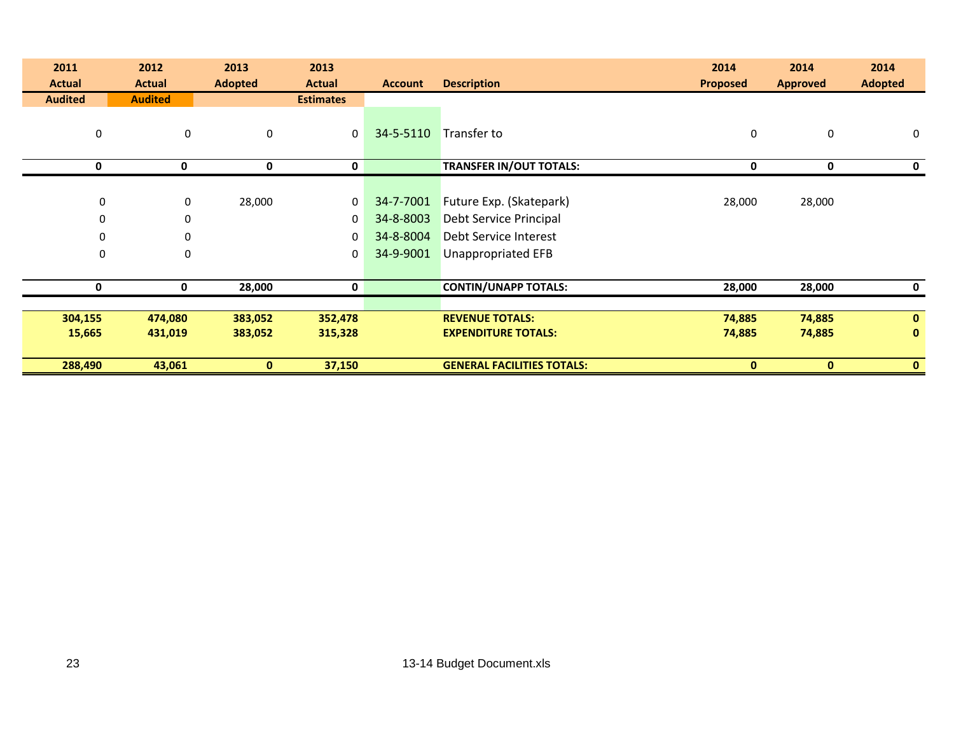| 2011             | 2012           | 2013           | 2013             |                |                                   | 2014            | 2014            | 2014           |
|------------------|----------------|----------------|------------------|----------------|-----------------------------------|-----------------|-----------------|----------------|
| <b>Actual</b>    | <b>Actual</b>  | <b>Adopted</b> | <b>Actual</b>    | <b>Account</b> | <b>Description</b>                | <b>Proposed</b> | <b>Approved</b> | <b>Adopted</b> |
| <b>Audited</b>   | <b>Audited</b> |                | <b>Estimates</b> |                |                                   |                 |                 |                |
| $\boldsymbol{0}$ | $\mathbf 0$    | $\pmb{0}$      | 0                | 34-5-5110      | Transfer to                       | $\pmb{0}$       | 0               | $\mathbf 0$    |
| 0                | 0              | 0              | 0                |                | <b>TRANSFER IN/OUT TOTALS:</b>    | 0               | 0               |                |
|                  |                |                |                  |                |                                   |                 |                 |                |
| $\pmb{0}$        | 0              | 28,000         | 0                | 34-7-7001      | Future Exp. (Skatepark)           | 28,000          | 28,000          |                |
| 0                | $\mathbf 0$    |                | 0                | 34-8-8003      | Debt Service Principal            |                 |                 |                |
| 0                | $\mathbf{0}$   |                | 0                | 34-8-8004      | Debt Service Interest             |                 |                 |                |
| 0                | $\Omega$       |                | 0                | 34-9-9001      | <b>Unappropriated EFB</b>         |                 |                 |                |
|                  |                |                |                  |                |                                   |                 |                 |                |
| 0                | 0              | 28,000         | 0                |                | <b>CONTIN/UNAPP TOTALS:</b>       | 28,000          | 28,000          | 0              |
|                  |                |                |                  |                |                                   |                 |                 |                |
| 304,155          | 474,080        | 383,052        | 352,478          |                | <b>REVENUE TOTALS:</b>            | 74,885          | 74,885          | $\mathbf{0}$   |
| 15,665           | 431,019        | 383,052        | 315,328          |                | <b>EXPENDITURE TOTALS:</b>        | 74,885          | 74,885          | $\mathbf{0}$   |
|                  |                |                |                  |                |                                   |                 |                 |                |
| 288,490          | 43,061         | $\bf{0}$       | 37,150           |                | <b>GENERAL FACILITIES TOTALS:</b> | $\mathbf{0}$    | $\mathbf{0}$    | $\mathbf{0}$   |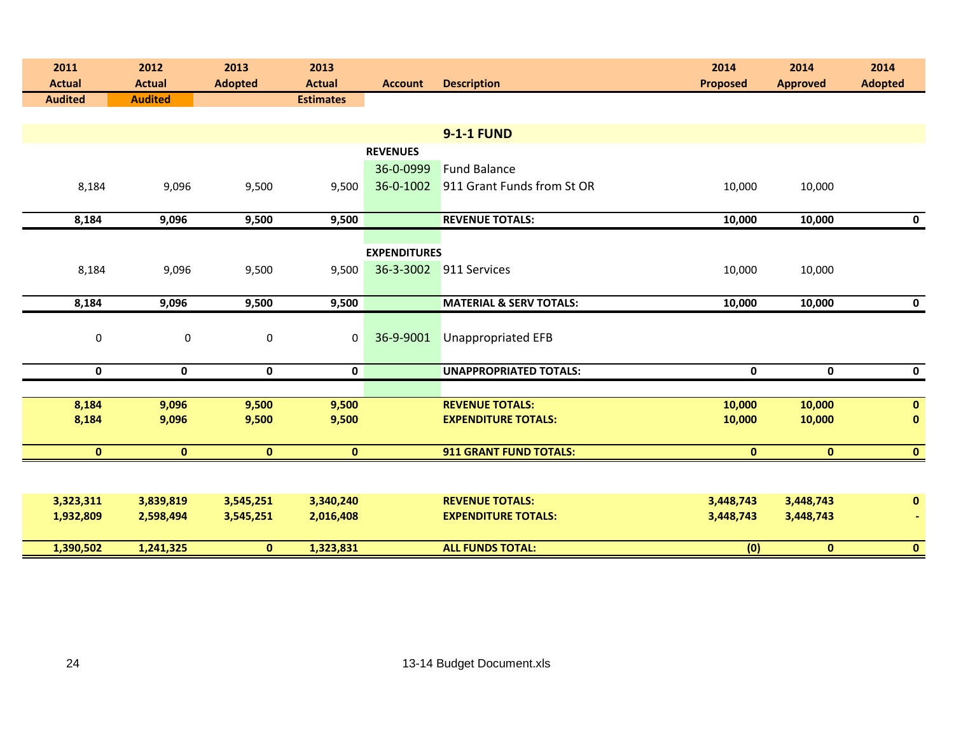| 2011<br><b>Actual</b> | 2012<br><b>Actual</b> | 2013<br><b>Adopted</b> | 2013<br><b>Actual</b> | <b>Account</b>      | <b>Description</b>                 | 2014<br><b>Proposed</b> | 2014<br><b>Approved</b> | 2014<br><b>Adopted</b> |
|-----------------------|-----------------------|------------------------|-----------------------|---------------------|------------------------------------|-------------------------|-------------------------|------------------------|
| <b>Audited</b>        | <b>Audited</b>        |                        | <b>Estimates</b>      |                     |                                    |                         |                         |                        |
|                       |                       |                        |                       |                     |                                    |                         |                         |                        |
|                       |                       |                        |                       |                     | <b>9-1-1 FUND</b>                  |                         |                         |                        |
|                       |                       |                        |                       | <b>REVENUES</b>     |                                    |                         |                         |                        |
|                       |                       |                        |                       | 36-0-0999           | <b>Fund Balance</b>                |                         |                         |                        |
| 8,184                 | 9,096                 | 9,500                  | 9,500                 | 36-0-1002           | 911 Grant Funds from St OR         | 10,000                  | 10,000                  |                        |
|                       |                       |                        |                       |                     |                                    |                         |                         |                        |
| 8,184                 | 9,096                 | 9,500                  | 9,500                 |                     | <b>REVENUE TOTALS:</b>             | 10,000                  | 10,000                  | $\mathbf 0$            |
|                       |                       |                        |                       |                     |                                    |                         |                         |                        |
|                       |                       |                        |                       | <b>EXPENDITURES</b> | 36-3-3002 911 Services             |                         |                         |                        |
| 8,184                 | 9,096                 | 9,500                  | 9,500                 |                     |                                    | 10,000                  | 10,000                  |                        |
| 8,184                 | 9,096                 | 9,500                  | 9,500                 |                     | <b>MATERIAL &amp; SERV TOTALS:</b> | 10,000                  | 10,000                  | $\mathbf 0$            |
|                       |                       |                        |                       |                     |                                    |                         |                         |                        |
| $\pmb{0}$             | $\pmb{0}$             | $\pmb{0}$              | $\mathbf 0$           | 36-9-9001           | <b>Unappropriated EFB</b>          |                         |                         |                        |
|                       |                       |                        |                       |                     |                                    |                         |                         |                        |
| $\mathbf 0$           | $\mathbf 0$           | $\mathbf 0$            | $\mathbf 0$           |                     | <b>UNAPPROPRIATED TOTALS:</b>      | $\mathbf 0$             | $\mathbf 0$             | $\mathbf 0$            |
|                       |                       |                        |                       |                     |                                    |                         |                         |                        |
| 8,184                 | 9,096                 | 9,500                  | 9,500                 |                     | <b>REVENUE TOTALS:</b>             | 10,000                  | 10,000                  | $\mathbf 0$            |
| 8,184                 | 9,096                 | 9,500                  | 9,500                 |                     | <b>EXPENDITURE TOTALS:</b>         | 10,000                  | 10,000                  | $\bf{0}$               |
|                       |                       |                        |                       |                     |                                    |                         |                         |                        |
| $\mathbf{0}$          | $\mathbf{0}$          | $\mathbf{0}$           | $\bf{0}$              |                     | <b>911 GRANT FUND TOTALS:</b>      | $\mathbf{0}$            | $\mathbf{0}$            | $\mathbf{0}$           |
|                       |                       |                        |                       |                     |                                    |                         |                         |                        |
| 3,323,311             | 3,839,819             | 3,545,251              | 3,340,240             |                     | <b>REVENUE TOTALS:</b>             | 3,448,743               | 3,448,743               | $\bf{0}$               |
| 1,932,809             | 2,598,494             | 3,545,251              | 2,016,408             |                     | <b>EXPENDITURE TOTALS:</b>         | 3,448,743               | 3,448,743               |                        |
|                       |                       |                        |                       |                     |                                    |                         |                         |                        |
| 1,390,502             | 1,241,325             | $\mathbf{0}$           | 1,323,831             |                     | <b>ALL FUNDS TOTAL:</b>            | (0)                     | $\mathbf{0}$            | $\mathbf{0}$           |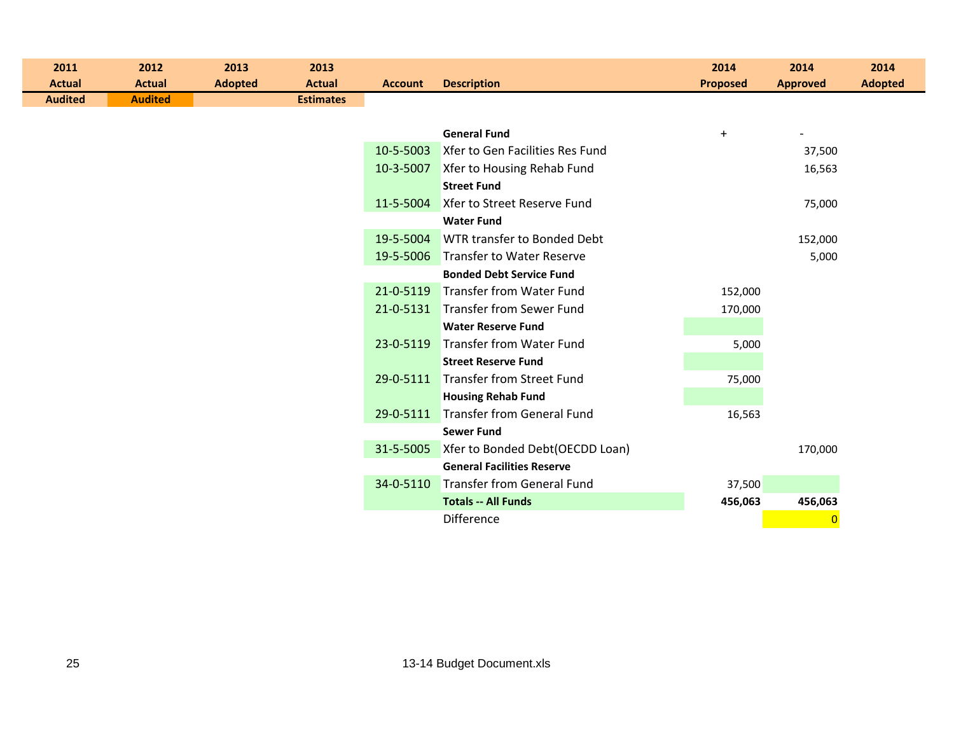| 2011<br><b>Actual</b> | 2012<br><b>Actual</b> | 2013<br><b>Adopted</b> | 2013<br><b>Actual</b> | <b>Account</b> | <b>Description</b>                 | 2014<br><b>Proposed</b> | 2014<br><b>Approved</b> | 2014<br><b>Adopted</b> |
|-----------------------|-----------------------|------------------------|-----------------------|----------------|------------------------------------|-------------------------|-------------------------|------------------------|
| <b>Audited</b>        | <b>Audited</b>        |                        | <b>Estimates</b>      |                |                                    |                         |                         |                        |
|                       |                       |                        |                       |                |                                    |                         |                         |                        |
|                       |                       |                        |                       |                | <b>General Fund</b>                | $+$                     |                         |                        |
|                       |                       |                        |                       | 10-5-5003      | Xfer to Gen Facilities Res Fund    |                         | 37,500                  |                        |
|                       |                       |                        |                       | 10-3-5007      | Xfer to Housing Rehab Fund         |                         | 16,563                  |                        |
|                       |                       |                        |                       |                | <b>Street Fund</b>                 |                         |                         |                        |
|                       |                       |                        |                       | 11-5-5004      | Xfer to Street Reserve Fund        |                         | 75,000                  |                        |
|                       |                       |                        |                       |                | <b>Water Fund</b>                  |                         |                         |                        |
|                       |                       |                        |                       | 19-5-5004      | WTR transfer to Bonded Debt        |                         | 152,000                 |                        |
|                       |                       |                        |                       | 19-5-5006      | Transfer to Water Reserve          |                         | 5,000                   |                        |
|                       |                       |                        |                       |                | <b>Bonded Debt Service Fund</b>    |                         |                         |                        |
|                       |                       |                        |                       | 21-0-5119      | <b>Transfer from Water Fund</b>    | 152,000                 |                         |                        |
|                       |                       |                        |                       |                | 21-0-5131 Transfer from Sewer Fund | 170,000                 |                         |                        |
|                       |                       |                        |                       |                | <b>Water Reserve Fund</b>          |                         |                         |                        |
|                       |                       |                        |                       | 23-0-5119      | <b>Transfer from Water Fund</b>    | 5,000                   |                         |                        |
|                       |                       |                        |                       |                | <b>Street Reserve Fund</b>         |                         |                         |                        |
|                       |                       |                        |                       | 29-0-5111      | Transfer from Street Fund          | 75,000                  |                         |                        |
|                       |                       |                        |                       |                | <b>Housing Rehab Fund</b>          |                         |                         |                        |
|                       |                       |                        |                       | 29-0-5111      | <b>Transfer from General Fund</b>  | 16,563                  |                         |                        |
|                       |                       |                        |                       |                | <b>Sewer Fund</b>                  |                         |                         |                        |
|                       |                       |                        |                       | 31-5-5005      | Xfer to Bonded Debt(OECDD Loan)    |                         | 170,000                 |                        |
|                       |                       |                        |                       |                | <b>General Facilities Reserve</b>  |                         |                         |                        |
|                       |                       |                        |                       | 34-0-5110      | <b>Transfer from General Fund</b>  | 37,500                  |                         |                        |
|                       |                       |                        |                       |                | <b>Totals -- All Funds</b>         | 456,063                 | 456,063                 |                        |
|                       |                       |                        |                       |                | <b>Difference</b>                  |                         | $\overline{0}$          |                        |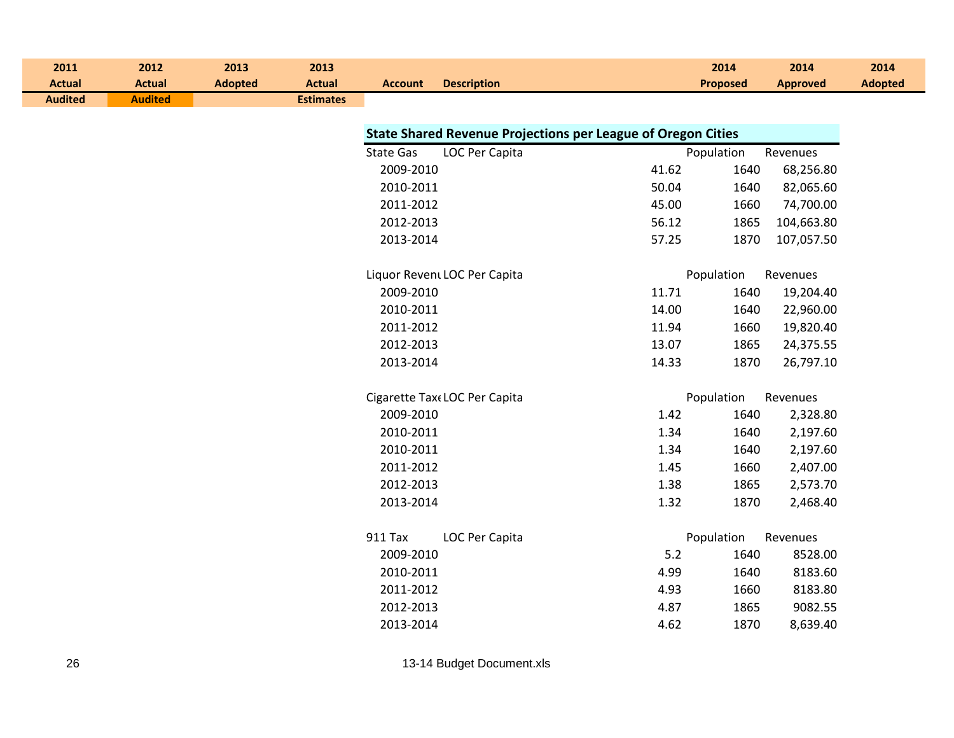| 2011<br><b>Actual</b> | 2012<br><b>Actual</b> | 2013<br><b>Adopted</b> | 2013<br><b>Actual</b> | <b>Account</b>   | <b>Description</b>                                                  |       | 2014<br><b>Proposed</b> | 2014<br><b>Approved</b> | 2014<br><b>Adopted</b> |
|-----------------------|-----------------------|------------------------|-----------------------|------------------|---------------------------------------------------------------------|-------|-------------------------|-------------------------|------------------------|
| <b>Audited</b>        | <b>Audited</b>        |                        | <b>Estimates</b>      |                  |                                                                     |       |                         |                         |                        |
|                       |                       |                        |                       |                  |                                                                     |       |                         |                         |                        |
|                       |                       |                        |                       |                  | <b>State Shared Revenue Projections per League of Oregon Cities</b> |       |                         |                         |                        |
|                       |                       |                        |                       | <b>State Gas</b> | LOC Per Capita                                                      |       | Population              | Revenues                |                        |
|                       |                       |                        |                       | 2009-2010        |                                                                     | 41.62 | 1640                    | 68,256.80               |                        |
|                       |                       |                        |                       | 2010-2011        |                                                                     | 50.04 | 1640                    | 82,065.60               |                        |
|                       |                       |                        |                       | 2011-2012        |                                                                     | 45.00 | 1660                    | 74,700.00               |                        |
|                       |                       |                        |                       | 2012-2013        |                                                                     | 56.12 | 1865                    | 104,663.80              |                        |
|                       |                       |                        |                       | 2013-2014        |                                                                     | 57.25 | 1870                    | 107,057.50              |                        |
|                       |                       |                        |                       |                  | Liquor Revent LOC Per Capita                                        |       | Population              | Revenues                |                        |
|                       |                       |                        |                       | 2009-2010        |                                                                     | 11.71 | 1640                    | 19,204.40               |                        |
|                       |                       |                        |                       | 2010-2011        |                                                                     | 14.00 | 1640                    | 22,960.00               |                        |
|                       |                       |                        |                       | 2011-2012        |                                                                     | 11.94 | 1660                    | 19,820.40               |                        |
|                       |                       |                        |                       | 2012-2013        |                                                                     | 13.07 | 1865                    | 24,375.55               |                        |
|                       |                       |                        |                       | 2013-2014        |                                                                     | 14.33 | 1870                    | 26,797.10               |                        |
|                       |                       |                        |                       |                  | Cigarette Tax (LOC Per Capita                                       |       | Population              | Revenues                |                        |
|                       |                       |                        |                       | 2009-2010        |                                                                     | 1.42  | 1640                    | 2,328.80                |                        |
|                       |                       |                        |                       | 2010-2011        |                                                                     | 1.34  | 1640                    | 2,197.60                |                        |
|                       |                       |                        |                       | 2010-2011        |                                                                     | 1.34  | 1640                    | 2,197.60                |                        |
|                       |                       |                        |                       | 2011-2012        |                                                                     | 1.45  | 1660                    | 2,407.00                |                        |
|                       |                       |                        |                       | 2012-2013        |                                                                     | 1.38  | 1865                    | 2,573.70                |                        |
|                       |                       |                        |                       | 2013-2014        |                                                                     | 1.32  | 1870                    | 2,468.40                |                        |
|                       |                       |                        |                       | 911 Tax          | LOC Per Capita                                                      |       | Population              | Revenues                |                        |
|                       |                       |                        |                       | 2009-2010        |                                                                     | 5.2   | 1640                    | 8528.00                 |                        |
|                       |                       |                        |                       | 2010-2011        |                                                                     | 4.99  | 1640                    | 8183.60                 |                        |
|                       |                       |                        |                       | 2011-2012        |                                                                     | 4.93  | 1660                    | 8183.80                 |                        |
|                       |                       |                        |                       | 2012-2013        |                                                                     | 4.87  | 1865                    | 9082.55                 |                        |
|                       |                       |                        |                       | 2013-2014        |                                                                     | 4.62  | 1870                    | 8,639.40                |                        |